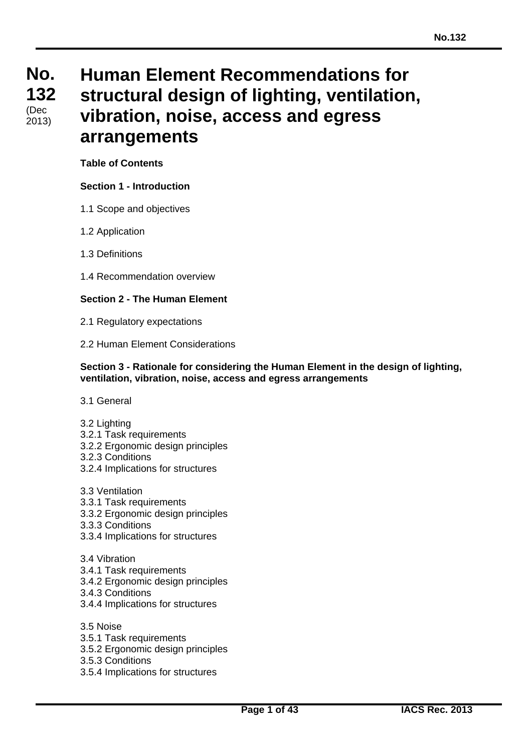# **No. No. 132 132** بەت)<br>2013) (Dec

# **Human Element Recommendations for structural design of lighting, ventilation, vibration, noise, access and egress arrangements**

# **Table of Contents**

# **Section 1 - Introduction**

- 1.1 Scope and objectives
- 1.2 Application
- 1.3 Definitions
- 1.4 Recommendation overview

### **Section 2 - The Human Element**

- 2.1 Regulatory expectations
- 2.2 Human Element Considerations

#### **Section 3 - Rationale for considering the Human Element in the design of lighting, ventilation, vibration, noise, access and egress arrangements**

- 3.1 General
- 3.2 Lighting
- 3.2.1 Task requirements
- 3.2.2 Ergonomic design principles
- 3.2.3 Conditions
- 3.2.4 Implications for structures
- 3.3 Ventilation
- 3.3.1 Task requirements
- 3.3.2 Ergonomic design principles
- 3.3.3 Conditions
- 3.3.4 Implications for structures
- 3.4 Vibration
- 3.4.1 Task requirements
- 3.4.2 Ergonomic design principles
- 3.4.3 Conditions
- 3.4.4 Implications for structures
- 3.5 Noise
- 3.5.1 Task requirements
- 3.5.2 Ergonomic design principles
- 3.5.3 Conditions
- 3.5.4 Implications for structures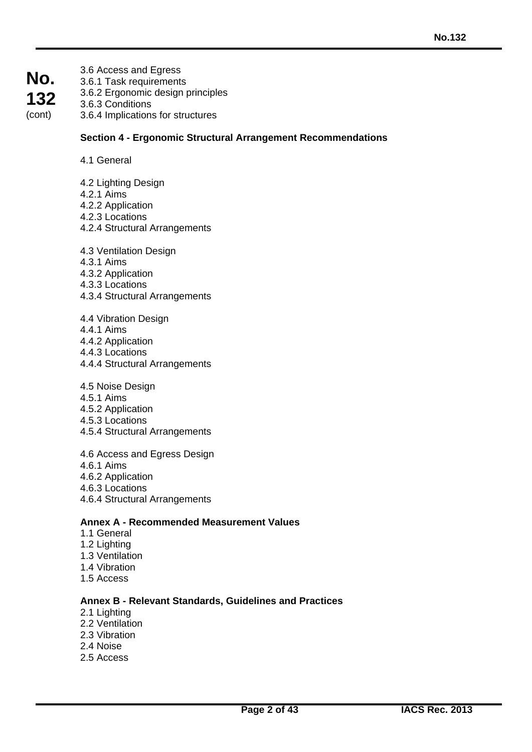- **No. 132** (cont)
- 3.6 Access and Egress 3.6.1 Task requirements 3.6.2 Ergonomic design principles 3.6.3 Conditions 3.6.4 Implications for structures

### **Section 4 - Ergonomic Structural Arrangement Recommendations**

- 4.1 General
- 4.2 Lighting Design
- 4.2.1 Aims
- 4.2.2 Application
- 4.2.3 Locations
- 4.2.4 Structural Arrangements
- 4.3 Ventilation Design
- 4.3.1 Aims
- 4.3.2 Application
- 4.3.3 Locations
- 4.3.4 Structural Arrangements
- 4.4 Vibration Design
- 4.4.1 Aims
- 4.4.2 Application
- 4.4.3 Locations
- 4.4.4 Structural Arrangements
- 4.5 Noise Design
- 4.5.1 Aims
- 4.5.2 Application
- 4.5.3 Locations
- 4.5.4 Structural Arrangements
- 4.6 Access and Egress Design
- 4.6.1 Aims
- 4.6.2 Application
- 4.6.3 Locations
- 4.6.4 Structural Arrangements

### **Annex A - Recommended Measurement Values**

- 1.1 General
- 1.2 Lighting
- 1.3 Ventilation
- 1.4 Vibration
- 1.5 Access

#### **Annex B - Relevant Standards, Guidelines and Practices**

- 2.1 Lighting
- 2.2 Ventilation
- 2.3 Vibration
- 2.4 Noise
- 2.5 Access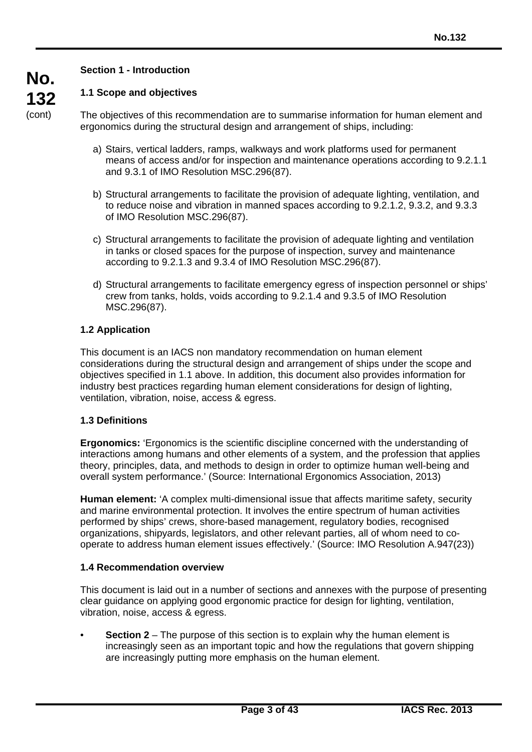# **Section 1 - Introduction**

# **1.1 Scope and objectives**

The objectives of this recommendation are to summarise information for human element and ergonomics during the structural design and arrangement of ships, including:

- a) Stairs, vertical ladders, ramps, walkways and work platforms used for permanent means of access and/or for inspection and maintenance operations according to 9.2.1.1 and 9.3.1 of IMO Resolution MSC.296(87).
- b) Structural arrangements to facilitate the provision of adequate lighting, ventilation, and to reduce noise and vibration in manned spaces according to 9.2.1.2, 9.3.2, and 9.3.3 of IMO Resolution MSC.296(87).
- c) Structural arrangements to facilitate the provision of adequate lighting and ventilation in tanks or closed spaces for the purpose of inspection, survey and maintenance according to 9.2.1.3 and 9.3.4 of IMO Resolution MSC.296(87).
- d) Structural arrangements to facilitate emergency egress of inspection personnel or ships' crew from tanks, holds, voids according to 9.2.1.4 and 9.3.5 of IMO Resolution MSC.296(87).

# **1.2 Application**

This document is an IACS non mandatory recommendation on human element considerations during the structural design and arrangement of ships under the scope and objectives specified in 1.1 above. In addition, this document also provides information for industry best practices regarding human element considerations for design of lighting, ventilation, vibration, noise, access & egress.

# **1.3 Definitions**

**Ergonomics:** 'Ergonomics is the scientific discipline concerned with the understanding of interactions among humans and other elements of a system, and the profession that applies theory, principles, data, and methods to design in order to optimize human well-being and overall system performance.' (Source: International Ergonomics Association, 2013)

**Human element:** 'A complex multi-dimensional issue that affects maritime safety, security and marine environmental protection. It involves the entire spectrum of human activities performed by ships' crews, shore-based management, regulatory bodies, recognised organizations, shipyards, legislators, and other relevant parties, all of whom need to cooperate to address human element issues effectively.' (Source: IMO Resolution A.947(23))

# **1.4 Recommendation overview**

This document is laid out in a number of sections and annexes with the purpose of presenting clear guidance on applying good ergonomic practice for design for lighting, ventilation, vibration, noise, access & egress.

• **Section 2** – The purpose of this section is to explain why the human element is increasingly seen as an important topic and how the regulations that govern shipping are increasingly putting more emphasis on the human element.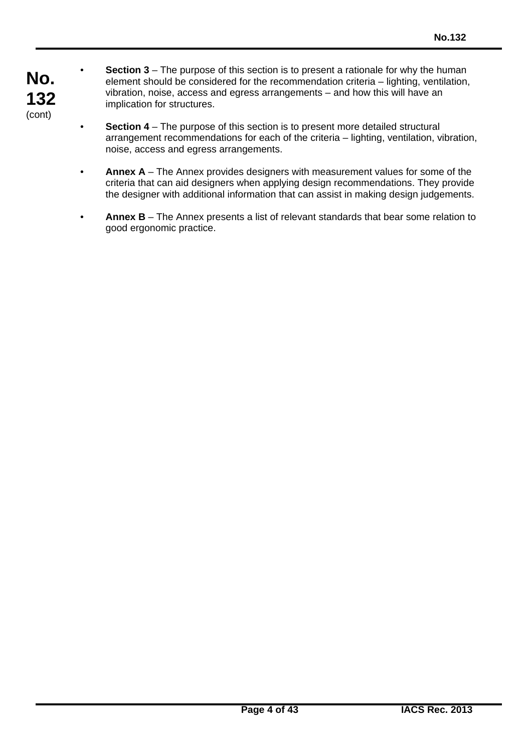- **No. 132** (cont)
- **Section 3** The purpose of this section is to present a rationale for why the human element should be considered for the recommendation criteria – lighting, ventilation, vibration, noise, access and egress arrangements – and how this will have an implication for structures.
- **Section 4** The purpose of this section is to present more detailed structural arrangement recommendations for each of the criteria – lighting, ventilation, vibration, noise, access and egress arrangements.
- **Annex A** The Annex provides designers with measurement values for some of the criteria that can aid designers when applying design recommendations. They provide the designer with additional information that can assist in making design judgements.
- **Annex B** The Annex presents a list of relevant standards that bear some relation to good ergonomic practice.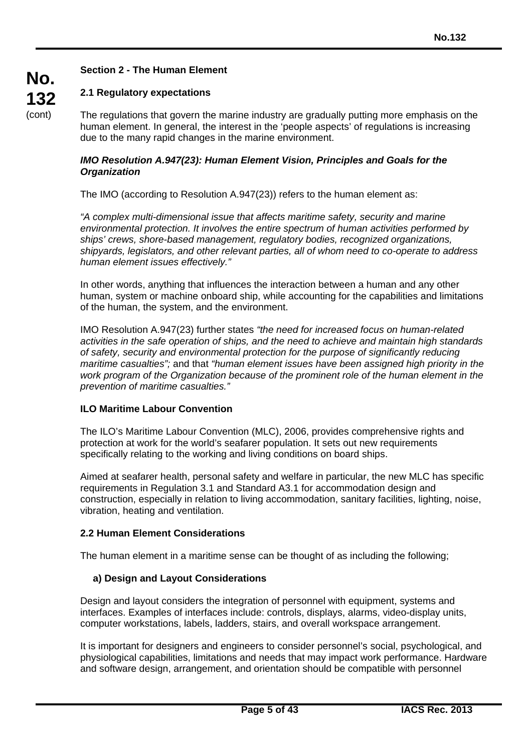# **Section 2 - The Human Element**

# **2.1 Regulatory expectations**

The regulations that govern the marine industry are gradually putting more emphasis on the human element. In general, the interest in the 'people aspects' of regulations is increasing due to the many rapid changes in the marine environment.

#### *IMO Resolution A.947(23): Human Element Vision, Principles and Goals for the Organization*

The IMO (according to Resolution A.947(23)) refers to the human element as:

*"A complex multi-dimensional issue that affects maritime safety, security and marine environmental protection. It involves the entire spectrum of human activities performed by ships' crews, shore-based management, regulatory bodies, recognized organizations, shipyards, legislators, and other relevant parties, all of whom need to co-operate to address human element issues effectively."*

In other words, anything that influences the interaction between a human and any other human, system or machine onboard ship, while accounting for the capabilities and limitations of the human, the system, and the environment.

IMO Resolution A.947(23) further states *"the need for increased focus on human-related activities in the safe operation of ships, and the need to achieve and maintain high standards of safety, security and environmental protection for the purpose of significantly reducing maritime casualties";* and that *"human element issues have been assigned high priority in the work program of the Organization because of the prominent role of the human element in the prevention of maritime casualties."*

#### **ILO Maritime Labour Convention**

The ILO's Maritime Labour Convention (MLC), 2006, provides comprehensive rights and protection at work for the world's seafarer population. It sets out new requirements specifically relating to the working and living conditions on board ships.

Aimed at seafarer health, personal safety and welfare in particular, the new MLC has specific requirements in Regulation 3.1 and Standard A3.1 for accommodation design and construction, especially in relation to living accommodation, sanitary facilities, lighting, noise, vibration, heating and ventilation.

# **2.2 Human Element Considerations**

The human element in a maritime sense can be thought of as including the following;

# **a) Design and Layout Considerations**

Design and layout considers the integration of personnel with equipment, systems and interfaces. Examples of interfaces include: controls, displays, alarms, video-display units, computer workstations, labels, ladders, stairs, and overall workspace arrangement.

It is important for designers and engineers to consider personnel's social, psychological, and physiological capabilities, limitations and needs that may impact work performance. Hardware and software design, arrangement, and orientation should be compatible with personnel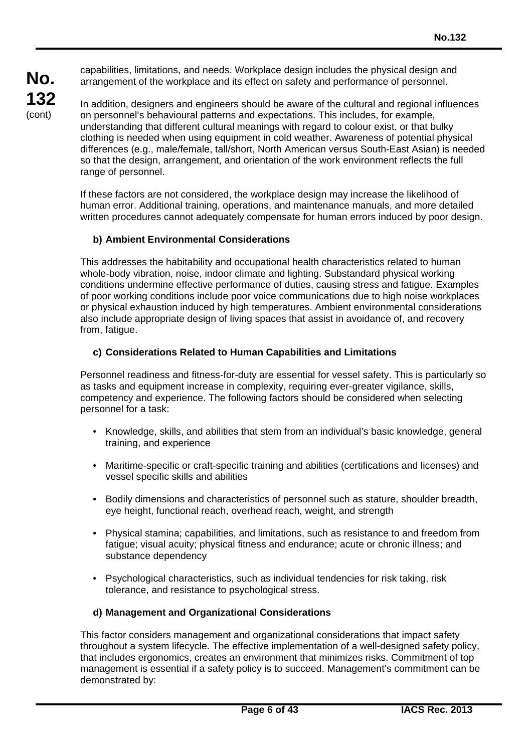capabilities, limitations, and needs. Workplace design includes the physical design and arrangement of the workplace and its effect on safety and performance of personnel.

In addition, designers and engineers should be aware of the cultural and regional influences on personnel's behavioural patterns and expectations. This includes, for example, understanding that different cultural meanings with regard to colour exist, or that bulky clothing is needed when using equipment in cold weather. Awareness of potential physical differences (e.g., male/female, tall/short, North American versus South-East Asian) is needed so that the design, arrangement, and orientation of the work environment reflects the full range of personnel.

If these factors are not considered, the workplace design may increase the likelihood of human error. Additional training, operations, and maintenance manuals, and more detailed written procedures cannot adequately compensate for human errors induced by poor design.

# **b) Ambient Environmental Considerations**

This addresses the habitability and occupational health characteristics related to human whole-body vibration, noise, indoor climate and lighting. Substandard physical working conditions undermine effective performance of duties, causing stress and fatigue. Examples of poor working conditions include poor voice communications due to high noise workplaces or physical exhaustion induced by high temperatures. Ambient environmental considerations also include appropriate design of living spaces that assist in avoidance of, and recovery from, fatigue.

### **c) Considerations Related to Human Capabilities and Limitations**

Personnel readiness and fitness-for-duty are essential for vessel safety. This is particularly so as tasks and equipment increase in complexity, requiring ever-greater vigilance, skills, competency and experience. The following factors should be considered when selecting personnel for a task:

- Knowledge, skills, and abilities that stem from an individual's basic knowledge, general training, and experience
- Maritime-specific or craft-specific training and abilities (certifications and licenses) and vessel specific skills and abilities
- Bodily dimensions and characteristics of personnel such as stature, shoulder breadth, eye height, functional reach, overhead reach, weight, and strength
- Physical stamina; capabilities, and limitations, such as resistance to and freedom from fatigue; visual acuity; physical fitness and endurance; acute or chronic illness; and substance dependency
- Psychological characteristics, such as individual tendencies for risk taking, risk tolerance, and resistance to psychological stress.

#### **d) Management and Organizational Considerations**

This factor considers management and organizational considerations that impact safety throughout a system lifecycle. The effective implementation of a well-designed safety policy, that includes ergonomics, creates an environment that minimizes risks. Commitment of top management is essential if a safety policy is to succeed. Management's commitment can be demonstrated by: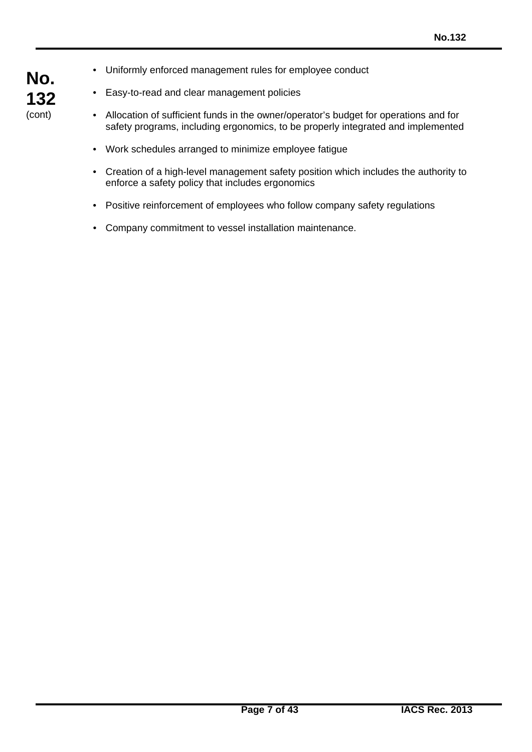- **No. 132** (cont)
- Uniformly enforced management rules for employee conduct
- Easy-to-read and clear management policies
- Allocation of sufficient funds in the owner/operator's budget for operations and for safety programs, including ergonomics, to be properly integrated and implemented
- Work schedules arranged to minimize employee fatigue
- Creation of a high-level management safety position which includes the authority to enforce a safety policy that includes ergonomics
- Positive reinforcement of employees who follow company safety regulations
- Company commitment to vessel installation maintenance.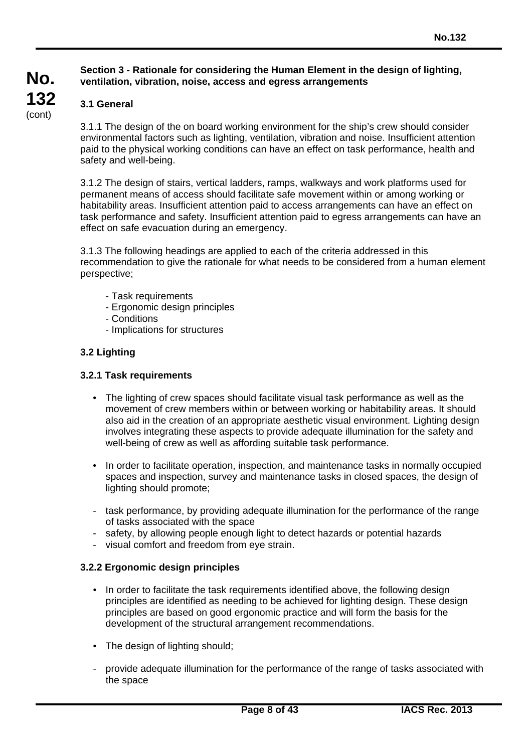### **Section 3 - Rationale for considering the Human Element in the design of lighting, ventilation, vibration, noise, access and egress arrangements**

# **3.1 General**

**No.**

**132** (cont)

> 3.1.1 The design of the on board working environment for the ship's crew should consider environmental factors such as lighting, ventilation, vibration and noise. Insufficient attention paid to the physical working conditions can have an effect on task performance, health and safety and well-being.

3.1.2 The design of stairs, vertical ladders, ramps, walkways and work platforms used for permanent means of access should facilitate safe movement within or among working or habitability areas. Insufficient attention paid to access arrangements can have an effect on task performance and safety. Insufficient attention paid to egress arrangements can have an effect on safe evacuation during an emergency.

3.1.3 The following headings are applied to each of the criteria addressed in this recommendation to give the rationale for what needs to be considered from a human element perspective;

- Task requirements
- Ergonomic design principles
- Conditions
- Implications for structures

# **3.2 Lighting**

#### **3.2.1 Task requirements**

- The lighting of crew spaces should facilitate visual task performance as well as the movement of crew members within or between working or habitability areas. It should also aid in the creation of an appropriate aesthetic visual environment. Lighting design involves integrating these aspects to provide adequate illumination for the safety and well-being of crew as well as affording suitable task performance.
- In order to facilitate operation, inspection, and maintenance tasks in normally occupied spaces and inspection, survey and maintenance tasks in closed spaces, the design of lighting should promote;
- task performance, by providing adequate illumination for the performance of the range of tasks associated with the space
- safety, by allowing people enough light to detect hazards or potential hazards
- visual comfort and freedom from eye strain.

#### **3.2.2 Ergonomic design principles**

- In order to facilitate the task requirements identified above, the following design principles are identified as needing to be achieved for lighting design. These design principles are based on good ergonomic practice and will form the basis for the development of the structural arrangement recommendations.
- The design of lighting should;
- provide adequate illumination for the performance of the range of tasks associated with the space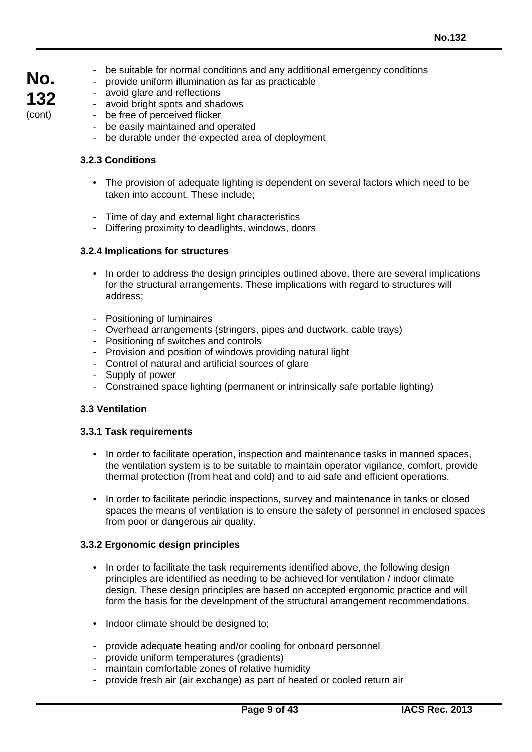- be suitable for normal conditions and any additional emergency conditions
- provide uniform illumination as far as practicable
- avoid glare and reflections
- avoid bright spots and shadows
- be free of perceived flicker
- be easily maintained and operated
- be durable under the expected area of deployment

#### **3.2.3 Conditions**

**No.**

**132** (cont)

- The provision of adequate lighting is dependent on several factors which need to be taken into account. These include;
- Time of day and external light characteristics
- Differing proximity to deadlights, windows, doors

### **3.2.4 Implications for structures**

- In order to address the design principles outlined above, there are several implications for the structural arrangements. These implications with regard to structures will address;
- Positioning of luminaires
- Overhead arrangements (stringers, pipes and ductwork, cable trays)
- Positioning of switches and controls
- Provision and position of windows providing natural light
- Control of natural and artificial sources of glare
- Supply of power
- Constrained space lighting (permanent or intrinsically safe portable lighting)

#### **3.3 Ventilation**

#### **3.3.1 Task requirements**

- In order to facilitate operation, inspection and maintenance tasks in manned spaces, the ventilation system is to be suitable to maintain operator vigilance, comfort, provide thermal protection (from heat and cold) and to aid safe and efficient operations.
- In order to facilitate periodic inspections, survey and maintenance in tanks or closed spaces the means of ventilation is to ensure the safety of personnel in enclosed spaces from poor or dangerous air quality.

#### **3.3.2 Ergonomic design principles**

- In order to facilitate the task requirements identified above, the following design principles are identified as needing to be achieved for ventilation / indoor climate design. These design principles are based on accepted ergonomic practice and will form the basis for the development of the structural arrangement recommendations.
- Indoor climate should be designed to:
- provide adequate heating and/or cooling for onboard personnel
- provide uniform temperatures (gradients)
- maintain comfortable zones of relative humidity
- provide fresh air (air exchange) as part of heated or cooled return air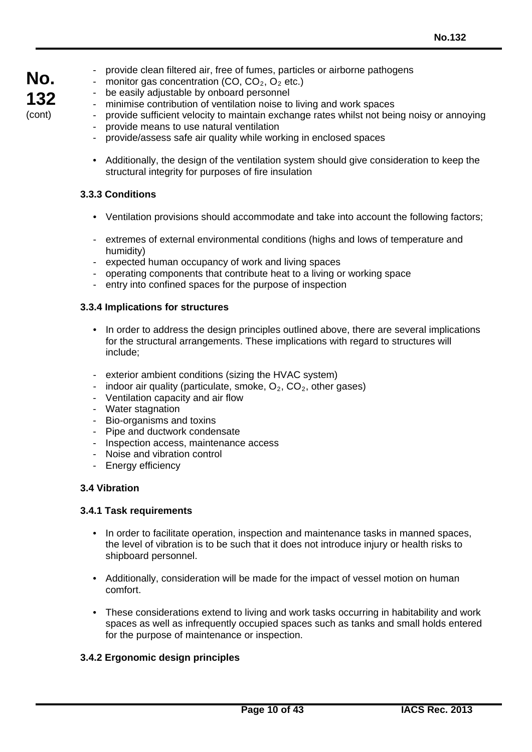- provide clean filtered air, free of fumes, particles or airborne pathogens
- monitor gas concentration  $(CO, CO<sub>2</sub>, O<sub>2</sub>$  etc.)
- be easily adjustable by onboard personnel
- minimise contribution of ventilation noise to living and work spaces
- provide sufficient velocity to maintain exchange rates whilst not being noisy or annoying provide means to use natural ventilation
	- provide/assess safe air quality while working in enclosed spaces
- Additionally, the design of the ventilation system should give consideration to keep the structural integrity for purposes of fire insulation

### **3.3.3 Conditions**

- Ventilation provisions should accommodate and take into account the following factors;
- extremes of external environmental conditions (highs and lows of temperature and humidity)
- expected human occupancy of work and living spaces
- operating components that contribute heat to a living or working space
- entry into confined spaces for the purpose of inspection

### **3.3.4 Implications for structures**

- In order to address the design principles outlined above, there are several implications for the structural arrangements. These implications with regard to structures will include;
- exterior ambient conditions (sizing the HVAC system)
- indoor air quality (particulate, smoke,  $O_2$ ,  $CO_2$ , other gases)
- Ventilation capacity and air flow
- Water stagnation
- Bio-organisms and toxins
- Pipe and ductwork condensate
- Inspection access, maintenance access
- Noise and vibration control
- Energy efficiency

# **3.4 Vibration**

#### **3.4.1 Task requirements**

- In order to facilitate operation, inspection and maintenance tasks in manned spaces, the level of vibration is to be such that it does not introduce injury or health risks to shipboard personnel.
- Additionally, consideration will be made for the impact of vessel motion on human comfort.
- These considerations extend to living and work tasks occurring in habitability and work spaces as well as infrequently occupied spaces such as tanks and small holds entered for the purpose of maintenance or inspection.

# **3.4.2 Ergonomic design principles**

# **No. 132** (cont)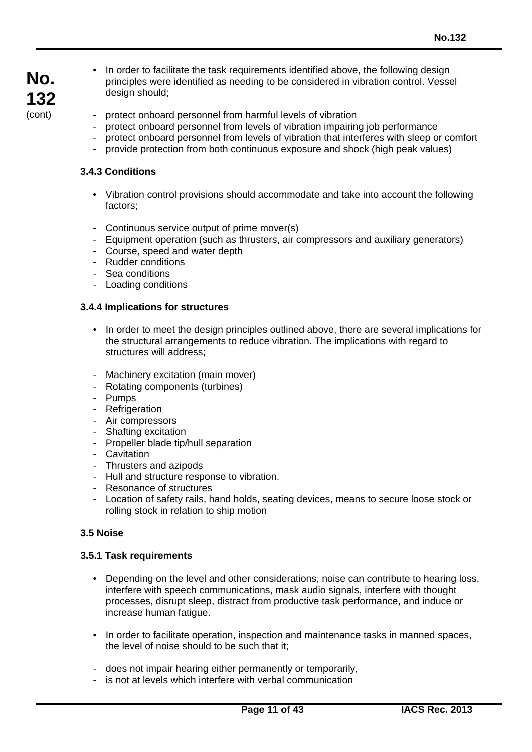- In order to facilitate the task requirements identified above, the following design principles were identified as needing to be considered in vibration control. Vessel design should;
- protect onboard personnel from harmful levels of vibration
- protect onboard personnel from levels of vibration impairing job performance
- protect onboard personnel from levels of vibration that interferes with sleep or comfort
- provide protection from both continuous exposure and shock (high peak values)

# **3.4.3 Conditions**

- Vibration control provisions should accommodate and take into account the following factors;
- Continuous service output of prime mover(s)
- Equipment operation (such as thrusters, air compressors and auxiliary generators)
- Course, speed and water depth
- Rudder conditions
- Sea conditions
- Loading conditions

# **3.4.4 Implications for structures**

- In order to meet the design principles outlined above, there are several implications for the structural arrangements to reduce vibration. The implications with regard to structures will address;
- Machinery excitation (main mover)
- Rotating components (turbines)
- Pumps
- Refrigeration
- Air compressors
- Shafting excitation
- Propeller blade tip/hull separation
- Cavitation
- Thrusters and azipods
- Hull and structure response to vibration.
- Resonance of structures
- Location of safety rails, hand holds, seating devices, means to secure loose stock or rolling stock in relation to ship motion

# **3.5 Noise**

#### **3.5.1 Task requirements**

- Depending on the level and other considerations, noise can contribute to hearing loss, interfere with speech communications, mask audio signals, interfere with thought processes, disrupt sleep, distract from productive task performance, and induce or increase human fatigue.
- In order to facilitate operation, inspection and maintenance tasks in manned spaces, the level of noise should to be such that it;
- does not impair hearing either permanently or temporarily,
- is not at levels which interfere with verbal communication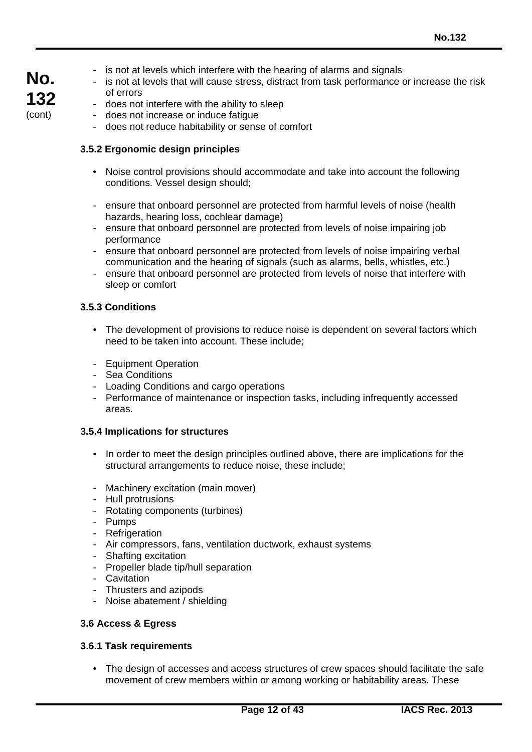- is not at levels which interfere with the hearing of alarms and signals
- is not at levels that will cause stress, distract from task performance or increase the risk of errors
- does not interfere with the ability to sleep
- does not increase or induce fatigue
- does not reduce habitability or sense of comfort

### **3.5.2 Ergonomic design principles**

- Noise control provisions should accommodate and take into account the following conditions. Vessel design should;
- ensure that onboard personnel are protected from harmful levels of noise (health hazards, hearing loss, cochlear damage)
- ensure that onboard personnel are protected from levels of noise impairing job performance
- ensure that onboard personnel are protected from levels of noise impairing verbal communication and the hearing of signals (such as alarms, bells, whistles, etc.)
- ensure that onboard personnel are protected from levels of noise that interfere with sleep or comfort

#### **3.5.3 Conditions**

- The development of provisions to reduce noise is dependent on several factors which need to be taken into account. These include;
- Equipment Operation
- Sea Conditions
- Loading Conditions and cargo operations
- Performance of maintenance or inspection tasks, including infrequently accessed areas.

#### **3.5.4 Implications for structures**

- In order to meet the design principles outlined above, there are implications for the structural arrangements to reduce noise, these include;
- Machinery excitation (main mover)
- Hull protrusions
- Rotating components (turbines)
- Pumps
- Refrigeration
- Air compressors, fans, ventilation ductwork, exhaust systems
- Shafting excitation
- Propeller blade tip/hull separation
- Cavitation
- Thrusters and azipods
- Noise abatement / shielding

#### **3.6 Access & Egress**

#### **3.6.1 Task requirements**

• The design of accesses and access structures of crew spaces should facilitate the safe movement of crew members within or among working or habitability areas. These

**No. 132** (cont)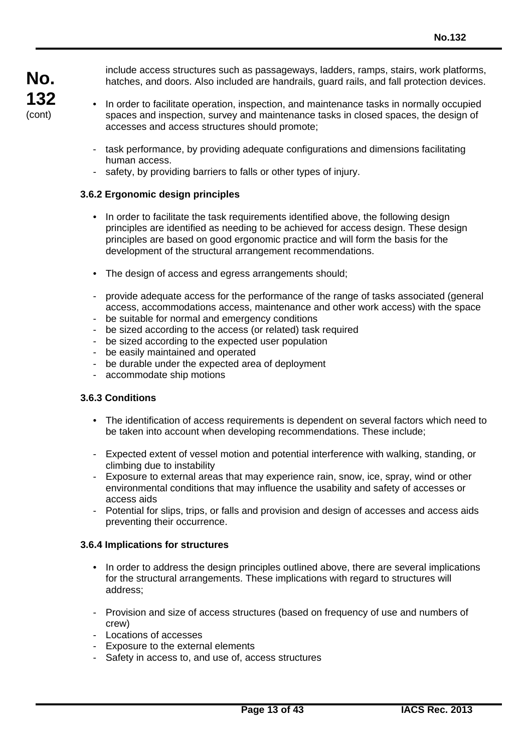include access structures such as passageways, ladders, ramps, stairs, work platforms, hatches, and doors. Also included are handrails, guard rails, and fall protection devices.

- In order to facilitate operation, inspection, and maintenance tasks in normally occupied spaces and inspection, survey and maintenance tasks in closed spaces, the design of accesses and access structures should promote;
- task performance, by providing adequate configurations and dimensions facilitating human access.
- safety, by providing barriers to falls or other types of injury.

# **3.6.2 Ergonomic design principles**

- In order to facilitate the task requirements identified above, the following design principles are identified as needing to be achieved for access design. These design principles are based on good ergonomic practice and will form the basis for the development of the structural arrangement recommendations.
- The design of access and egress arrangements should:
- provide adequate access for the performance of the range of tasks associated (general access, accommodations access, maintenance and other work access) with the space
- be suitable for normal and emergency conditions
- be sized according to the access (or related) task required
- be sized according to the expected user population
- be easily maintained and operated
- be durable under the expected area of deployment
- accommodate ship motions

# **3.6.3 Conditions**

- The identification of access requirements is dependent on several factors which need to be taken into account when developing recommendations. These include;
- Expected extent of vessel motion and potential interference with walking, standing, or climbing due to instability
- Exposure to external areas that may experience rain, snow, ice, spray, wind or other environmental conditions that may influence the usability and safety of accesses or access aids
- Potential for slips, trips, or falls and provision and design of accesses and access aids preventing their occurrence.

#### **3.6.4 Implications for structures**

- In order to address the design principles outlined above, there are several implications for the structural arrangements. These implications with regard to structures will address;
- Provision and size of access structures (based on frequency of use and numbers of crew)
- Locations of accesses
- Exposure to the external elements
- Safety in access to, and use of, access structures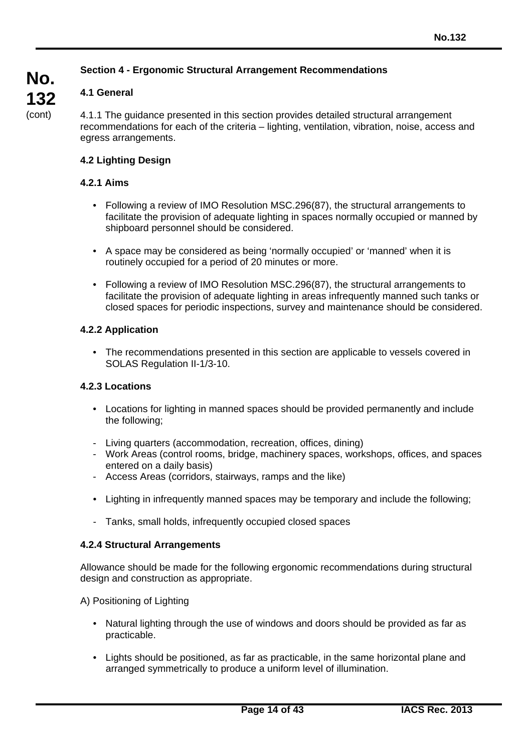# **Section 4 - Ergonomic Structural Arrangement Recommendations**

# **4.1 General**

**No.**

**132** (cont)

4.1.1 The guidance presented in this section provides detailed structural arrangement recommendations for each of the criteria – lighting, ventilation, vibration, noise, access and egress arrangements.

# **4.2 Lighting Design**

# **4.2.1 Aims**

- Following a review of IMO Resolution MSC.296(87), the structural arrangements to facilitate the provision of adequate lighting in spaces normally occupied or manned by shipboard personnel should be considered.
- A space may be considered as being 'normally occupied' or 'manned' when it is routinely occupied for a period of 20 minutes or more.
- Following a review of IMO Resolution MSC.296(87), the structural arrangements to facilitate the provision of adequate lighting in areas infrequently manned such tanks or closed spaces for periodic inspections, survey and maintenance should be considered.

# **4.2.2 Application**

• The recommendations presented in this section are applicable to vessels covered in SOLAS Regulation II-1/3-10.

# **4.2.3 Locations**

- Locations for lighting in manned spaces should be provided permanently and include the following;
- Living quarters (accommodation, recreation, offices, dining)
- Work Areas (control rooms, bridge, machinery spaces, workshops, offices, and spaces entered on a daily basis)
- Access Areas (corridors, stairways, ramps and the like)
- Lighting in infrequently manned spaces may be temporary and include the following;
- Tanks, small holds, infrequently occupied closed spaces

# **4.2.4 Structural Arrangements**

Allowance should be made for the following ergonomic recommendations during structural design and construction as appropriate.

A) Positioning of Lighting

- Natural lighting through the use of windows and doors should be provided as far as practicable.
- Lights should be positioned, as far as practicable, in the same horizontal plane and arranged symmetrically to produce a uniform level of illumination.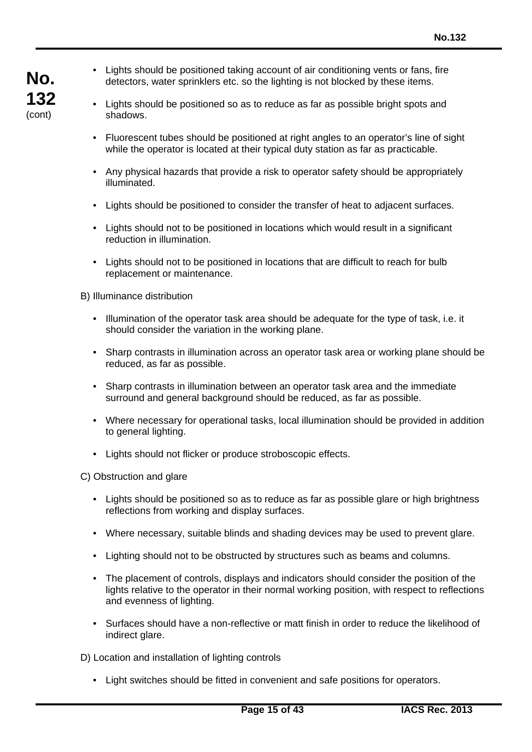- Lights should be positioned taking account of air conditioning vents or fans, fire detectors, water sprinklers etc. so the lighting is not blocked by these items.
- Lights should be positioned so as to reduce as far as possible bright spots and shadows.
- Fluorescent tubes should be positioned at right angles to an operator's line of sight while the operator is located at their typical duty station as far as practicable.
- Any physical hazards that provide a risk to operator safety should be appropriately illuminated.
- Lights should be positioned to consider the transfer of heat to adjacent surfaces.
- Lights should not to be positioned in locations which would result in a significant reduction in illumination.
- Lights should not to be positioned in locations that are difficult to reach for bulb replacement or maintenance.

B) Illuminance distribution

- Illumination of the operator task area should be adequate for the type of task, i.e. it should consider the variation in the working plane.
- Sharp contrasts in illumination across an operator task area or working plane should be reduced, as far as possible.
- Sharp contrasts in illumination between an operator task area and the immediate surround and general background should be reduced, as far as possible.
- Where necessary for operational tasks, local illumination should be provided in addition to general lighting.
- Lights should not flicker or produce stroboscopic effects.

C) Obstruction and glare

- Lights should be positioned so as to reduce as far as possible glare or high brightness reflections from working and display surfaces.
- Where necessary, suitable blinds and shading devices may be used to prevent glare.
- Lighting should not to be obstructed by structures such as beams and columns.
- The placement of controls, displays and indicators should consider the position of the lights relative to the operator in their normal working position, with respect to reflections and evenness of lighting.
- Surfaces should have a non-reflective or matt finish in order to reduce the likelihood of indirect glare.

D) Location and installation of lighting controls

• Light switches should be fitted in convenient and safe positions for operators.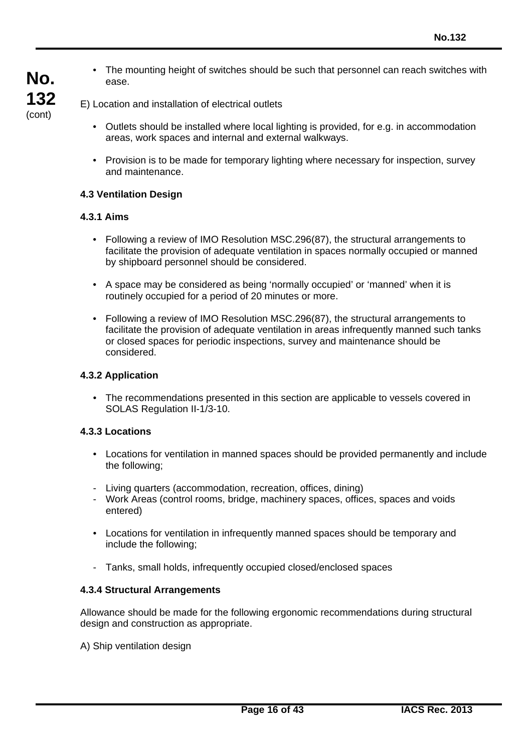• The mounting height of switches should be such that personnel can reach switches with ease.

# E) Location and installation of electrical outlets

- Outlets should be installed where local lighting is provided, for e.g. in accommodation areas, work spaces and internal and external walkways.
- Provision is to be made for temporary lighting where necessary for inspection, survey and maintenance.

### **4.3 Ventilation Design**

### **4.3.1 Aims**

**No.**

**132** (cont)

- Following a review of IMO Resolution MSC.296(87), the structural arrangements to facilitate the provision of adequate ventilation in spaces normally occupied or manned by shipboard personnel should be considered.
- A space may be considered as being 'normally occupied' or 'manned' when it is routinely occupied for a period of 20 minutes or more.
- Following a review of IMO Resolution MSC.296(87), the structural arrangements to facilitate the provision of adequate ventilation in areas infrequently manned such tanks or closed spaces for periodic inspections, survey and maintenance should be considered.

### **4.3.2 Application**

• The recommendations presented in this section are applicable to vessels covered in SOLAS Regulation II-1/3-10.

### **4.3.3 Locations**

- Locations for ventilation in manned spaces should be provided permanently and include the following;
- Living quarters (accommodation, recreation, offices, dining)
- Work Areas (control rooms, bridge, machinery spaces, offices, spaces and voids entered)
- Locations for ventilation in infrequently manned spaces should be temporary and include the following;
- Tanks, small holds, infrequently occupied closed/enclosed spaces

#### **4.3.4 Structural Arrangements**

Allowance should be made for the following ergonomic recommendations during structural design and construction as appropriate.

A) Ship ventilation design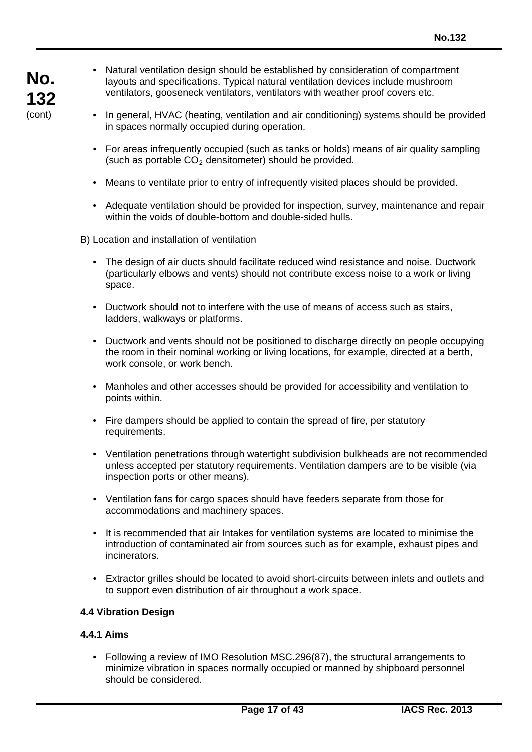- Natural ventilation design should be established by consideration of compartment layouts and specifications. Typical natural ventilation devices include mushroom ventilators, gooseneck ventilators, ventilators with weather proof covers etc.
- In general, HVAC (heating, ventilation and air conditioning) systems should be provided in spaces normally occupied during operation.
- For areas infrequently occupied (such as tanks or holds) means of air quality sampling (such as portable  $CO<sub>2</sub>$  densitometer) should be provided.
- Means to ventilate prior to entry of infrequently visited places should be provided.
- Adequate ventilation should be provided for inspection, survey, maintenance and repair within the voids of double-bottom and double-sided hulls.

B) Location and installation of ventilation

- The design of air ducts should facilitate reduced wind resistance and noise. Ductwork (particularly elbows and vents) should not contribute excess noise to a work or living space.
- Ductwork should not to interfere with the use of means of access such as stairs, ladders, walkways or platforms.
- Ductwork and vents should not be positioned to discharge directly on people occupying the room in their nominal working or living locations, for example, directed at a berth, work console, or work bench.
- Manholes and other accesses should be provided for accessibility and ventilation to points within.
- Fire dampers should be applied to contain the spread of fire, per statutory requirements.
- Ventilation penetrations through watertight subdivision bulkheads are not recommended unless accepted per statutory requirements. Ventilation dampers are to be visible (via inspection ports or other means).
- Ventilation fans for cargo spaces should have feeders separate from those for accommodations and machinery spaces.
- It is recommended that air Intakes for ventilation systems are located to minimise the introduction of contaminated air from sources such as for example, exhaust pipes and incinerators.
- Extractor grilles should be located to avoid short-circuits between inlets and outlets and to support even distribution of air throughout a work space.

# **4.4 Vibration Design**

# **4.4.1 Aims**

• Following a review of IMO Resolution MSC.296(87), the structural arrangements to minimize vibration in spaces normally occupied or manned by shipboard personnel should be considered.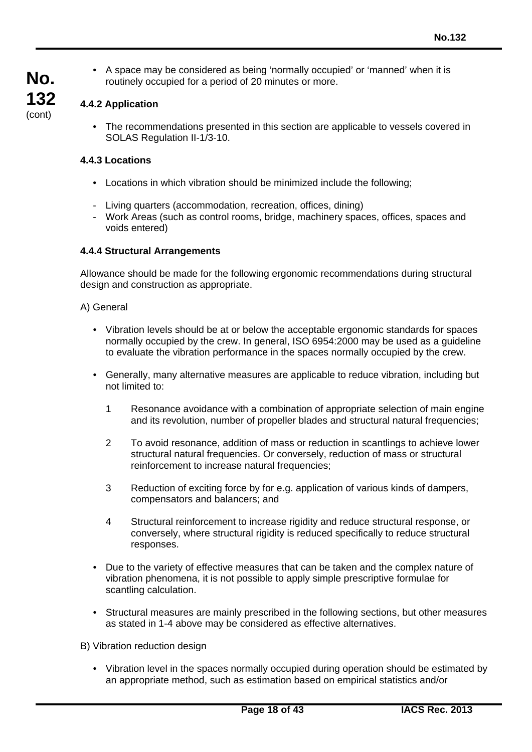• A space may be considered as being 'normally occupied' or 'manned' when it is routinely occupied for a period of 20 minutes or more.

### **4.4.2 Application**

**No.**

**132** (cont)

> • The recommendations presented in this section are applicable to vessels covered in SOLAS Regulation II-1/3-10.

#### **4.4.3 Locations**

- Locations in which vibration should be minimized include the following;
- Living quarters (accommodation, recreation, offices, dining)
- Work Areas (such as control rooms, bridge, machinery spaces, offices, spaces and voids entered)

#### **4.4.4 Structural Arrangements**

Allowance should be made for the following ergonomic recommendations during structural design and construction as appropriate.

#### A) General

- Vibration levels should be at or below the acceptable ergonomic standards for spaces normally occupied by the crew. In general, ISO 6954:2000 may be used as a guideline to evaluate the vibration performance in the spaces normally occupied by the crew.
- Generally, many alternative measures are applicable to reduce vibration, including but not limited to:
	- 1 Resonance avoidance with a combination of appropriate selection of main engine and its revolution, number of propeller blades and structural natural frequencies;
	- 2 To avoid resonance, addition of mass or reduction in scantlings to achieve lower structural natural frequencies. Or conversely, reduction of mass or structural reinforcement to increase natural frequencies;
	- 3 Reduction of exciting force by for e.g. application of various kinds of dampers, compensators and balancers; and
	- 4 Structural reinforcement to increase rigidity and reduce structural response, or conversely, where structural rigidity is reduced specifically to reduce structural responses.
- Due to the variety of effective measures that can be taken and the complex nature of vibration phenomena, it is not possible to apply simple prescriptive formulae for scantling calculation.
- Structural measures are mainly prescribed in the following sections, but other measures as stated in 1-4 above may be considered as effective alternatives.

B) Vibration reduction design

• Vibration level in the spaces normally occupied during operation should be estimated by an appropriate method, such as estimation based on empirical statistics and/or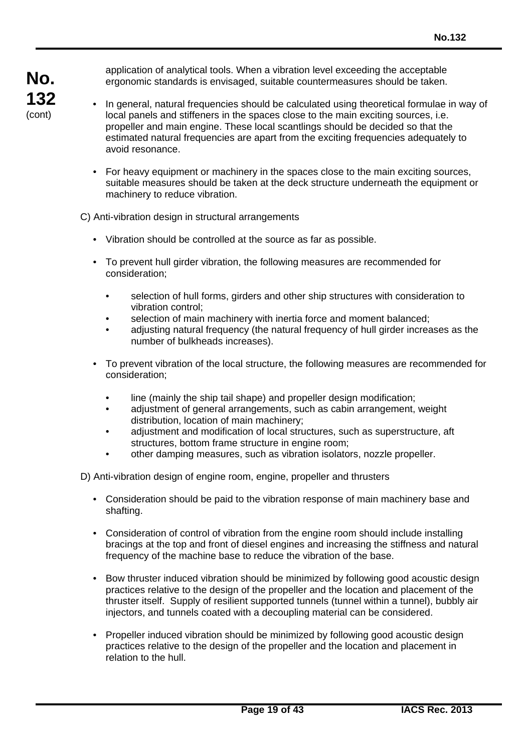application of analytical tools. When a vibration level exceeding the acceptable ergonomic standards is envisaged, suitable countermeasures should be taken.

- In general, natural frequencies should be calculated using theoretical formulae in way of local panels and stiffeners in the spaces close to the main exciting sources, i.e. propeller and main engine. These local scantlings should be decided so that the estimated natural frequencies are apart from the exciting frequencies adequately to avoid resonance.
	- For heavy equipment or machinery in the spaces close to the main exciting sources, suitable measures should be taken at the deck structure underneath the equipment or machinery to reduce vibration.

C) Anti-vibration design in structural arrangements

- Vibration should be controlled at the source as far as possible.
- To prevent hull girder vibration, the following measures are recommended for consideration;
	- selection of hull forms, girders and other ship structures with consideration to vibration control;
	- selection of main machinery with inertia force and moment balanced;
	- adjusting natural frequency (the natural frequency of hull girder increases as the number of bulkheads increases).
- To prevent vibration of the local structure, the following measures are recommended for consideration;
	- line (mainly the ship tail shape) and propeller design modification;
	- adjustment of general arrangements, such as cabin arrangement, weight distribution, location of main machinery;
	- adjustment and modification of local structures, such as superstructure, aft structures, bottom frame structure in engine room;
	- other damping measures, such as vibration isolators, nozzle propeller.

D) Anti-vibration design of engine room, engine, propeller and thrusters

- Consideration should be paid to the vibration response of main machinery base and shafting.
- Consideration of control of vibration from the engine room should include installing bracings at the top and front of diesel engines and increasing the stiffness and natural frequency of the machine base to reduce the vibration of the base.
- Bow thruster induced vibration should be minimized by following good acoustic design practices relative to the design of the propeller and the location and placement of the thruster itself. Supply of resilient supported tunnels (tunnel within a tunnel), bubbly air injectors, and tunnels coated with a decoupling material can be considered.
- Propeller induced vibration should be minimized by following good acoustic design practices relative to the design of the propeller and the location and placement in relation to the hull.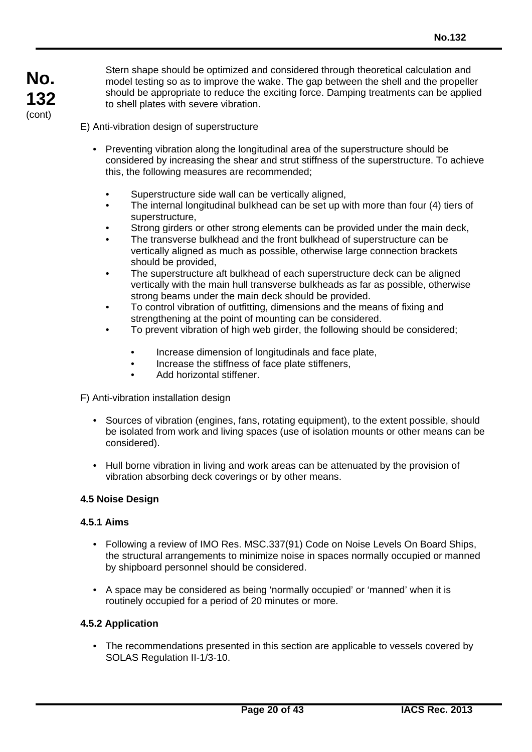Stern shape should be optimized and considered through theoretical calculation and model testing so as to improve the wake. The gap between the shell and the propeller should be appropriate to reduce the exciting force. Damping treatments can be applied to shell plates with severe vibration.

E) Anti-vibration design of superstructure

- Preventing vibration along the longitudinal area of the superstructure should be considered by increasing the shear and strut stiffness of the superstructure. To achieve this, the following measures are recommended;
	- Superstructure side wall can be vertically aligned,
	- The internal longitudinal bulkhead can be set up with more than four (4) tiers of superstructure,
	- Strong girders or other strong elements can be provided under the main deck,
	- The transverse bulkhead and the front bulkhead of superstructure can be vertically aligned as much as possible, otherwise large connection brackets should be provided,
	- The superstructure aft bulkhead of each superstructure deck can be aligned vertically with the main hull transverse bulkheads as far as possible, otherwise strong beams under the main deck should be provided.
	- To control vibration of outfitting, dimensions and the means of fixing and strengthening at the point of mounting can be considered.
	- To prevent vibration of high web girder, the following should be considered;
		- Increase dimension of longitudinals and face plate,
		- Increase the stiffness of face plate stiffeners,
		- Add horizontal stiffener.

F) Anti-vibration installation design

- Sources of vibration (engines, fans, rotating equipment), to the extent possible, should be isolated from work and living spaces (use of isolation mounts or other means can be considered).
- Hull borne vibration in living and work areas can be attenuated by the provision of vibration absorbing deck coverings or by other means.

#### **4.5 Noise Design**

#### **4.5.1 Aims**

- Following a review of IMO Res. MSC.337(91) Code on Noise Levels On Board Ships, the structural arrangements to minimize noise in spaces normally occupied or manned by shipboard personnel should be considered.
- A space may be considered as being 'normally occupied' or 'manned' when it is routinely occupied for a period of 20 minutes or more.

#### **4.5.2 Application**

• The recommendations presented in this section are applicable to vessels covered by SOLAS Regulation II-1/3-10.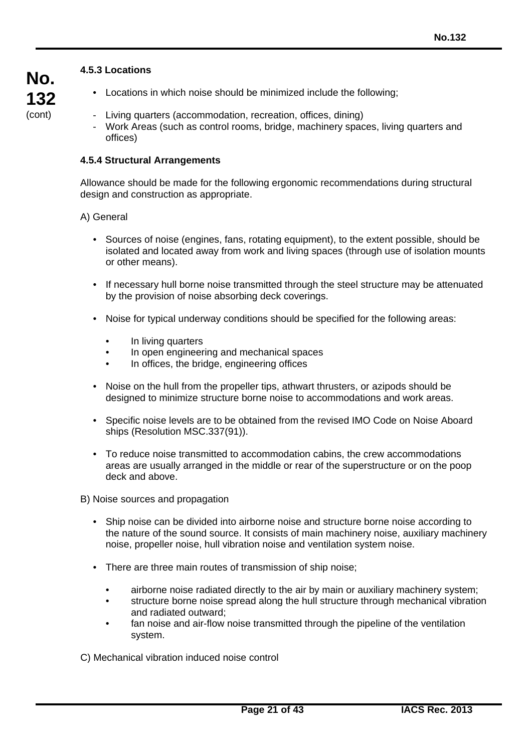# **4.5.3 Locations**

- Locations in which noise should be minimized include the following;
- Living quarters (accommodation, recreation, offices, dining)
- Work Areas (such as control rooms, bridge, machinery spaces, living quarters and offices)

#### **4.5.4 Structural Arrangements**

Allowance should be made for the following ergonomic recommendations during structural design and construction as appropriate.

A) General

- Sources of noise (engines, fans, rotating equipment), to the extent possible, should be isolated and located away from work and living spaces (through use of isolation mounts or other means).
- If necessary hull borne noise transmitted through the steel structure may be attenuated by the provision of noise absorbing deck coverings.
- Noise for typical underway conditions should be specified for the following areas:
	- In living quarters
	- In open engineering and mechanical spaces
	- In offices, the bridge, engineering offices
- Noise on the hull from the propeller tips, athwart thrusters, or azipods should be designed to minimize structure borne noise to accommodations and work areas.
- Specific noise levels are to be obtained from the revised IMO Code on Noise Aboard ships (Resolution MSC.337(91)).
- To reduce noise transmitted to accommodation cabins, the crew accommodations areas are usually arranged in the middle or rear of the superstructure or on the poop deck and above.

B) Noise sources and propagation

- Ship noise can be divided into airborne noise and structure borne noise according to the nature of the sound source. It consists of main machinery noise, auxiliary machinery noise, propeller noise, hull vibration noise and ventilation system noise.
- There are three main routes of transmission of ship noise;
	- airborne noise radiated directly to the air by main or auxiliary machinery system;
	- structure borne noise spread along the hull structure through mechanical vibration and radiated outward;
	- fan noise and air-flow noise transmitted through the pipeline of the ventilation system.

C) Mechanical vibration induced noise control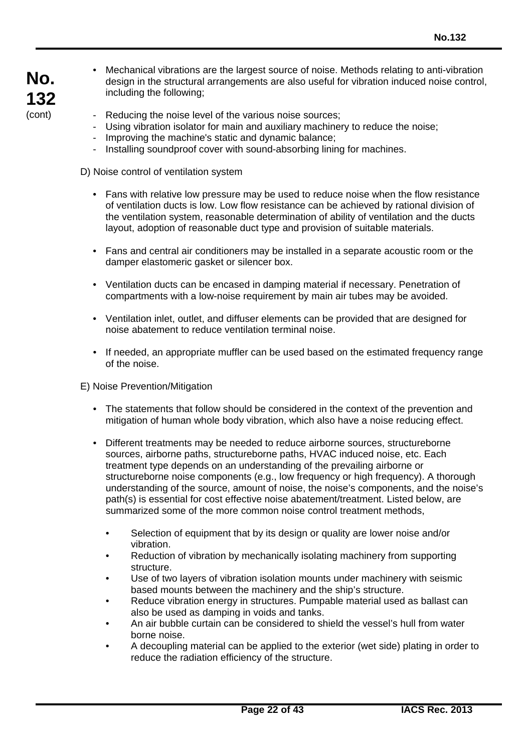- **No. 132** (cont)
- Mechanical vibrations are the largest source of noise. Methods relating to anti-vibration design in the structural arrangements are also useful for vibration induced noise control, including the following;
- Reducing the noise level of the various noise sources;
- Using vibration isolator for main and auxiliary machinery to reduce the noise;
- Improving the machine's static and dynamic balance;
- Installing soundproof cover with sound-absorbing lining for machines.

D) Noise control of ventilation system

- Fans with relative low pressure may be used to reduce noise when the flow resistance of ventilation ducts is low. Low flow resistance can be achieved by rational division of the ventilation system, reasonable determination of ability of ventilation and the ducts layout, adoption of reasonable duct type and provision of suitable materials.
- Fans and central air conditioners may be installed in a separate acoustic room or the damper elastomeric gasket or silencer box.
- Ventilation ducts can be encased in damping material if necessary. Penetration of compartments with a low-noise requirement by main air tubes may be avoided.
- Ventilation inlet, outlet, and diffuser elements can be provided that are designed for noise abatement to reduce ventilation terminal noise.
- If needed, an appropriate muffler can be used based on the estimated frequency range of the noise.

E) Noise Prevention/Mitigation

- The statements that follow should be considered in the context of the prevention and mitigation of human whole body vibration, which also have a noise reducing effect.
- Different treatments may be needed to reduce airborne sources, structureborne sources, airborne paths, structureborne paths, HVAC induced noise, etc. Each treatment type depends on an understanding of the prevailing airborne or structureborne noise components (e.g., low frequency or high frequency). A thorough understanding of the source, amount of noise, the noise's components, and the noise's path(s) is essential for cost effective noise abatement/treatment. Listed below, are summarized some of the more common noise control treatment methods,
	- Selection of equipment that by its design or quality are lower noise and/or vibration.
	- Reduction of vibration by mechanically isolating machinery from supporting structure.
	- Use of two layers of vibration isolation mounts under machinery with seismic based mounts between the machinery and the ship's structure.
	- Reduce vibration energy in structures. Pumpable material used as ballast can also be used as damping in voids and tanks.
	- An air bubble curtain can be considered to shield the vessel's hull from water borne noise.
	- A decoupling material can be applied to the exterior (wet side) plating in order to reduce the radiation efficiency of the structure.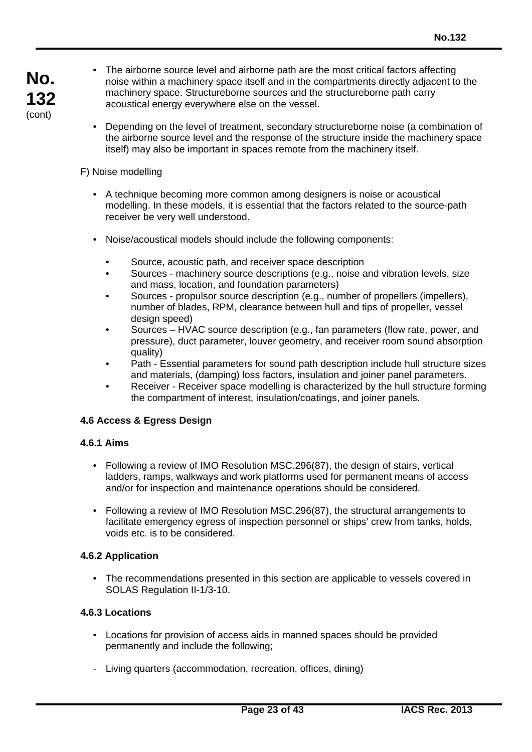- The airborne source level and airborne path are the most critical factors affecting noise within a machinery space itself and in the compartments directly adjacent to the machinery space. Structureborne sources and the structureborne path carry acoustical energy everywhere else on the vessel.
- Depending on the level of treatment, secondary structureborne noise (a combination of the airborne source level and the response of the structure inside the machinery space itself) may also be important in spaces remote from the machinery itself.

# F) Noise modelling

- A technique becoming more common among designers is noise or acoustical modelling. In these models, it is essential that the factors related to the source-path receiver be very well understood.
- Noise/acoustical models should include the following components:
	- Source, acoustic path, and receiver space description
	- Sources machinery source descriptions (e.g., noise and vibration levels, size and mass, location, and foundation parameters)
	- Sources propulsor source description (e.g., number of propellers (impellers), number of blades, RPM, clearance between hull and tips of propeller, vessel design speed)
	- Sources HVAC source description (e.g., fan parameters (flow rate, power, and pressure), duct parameter, louver geometry, and receiver room sound absorption quality)
	- Path Essential parameters for sound path description include hull structure sizes and materials, (damping) loss factors, insulation and joiner panel parameters.
	- Receiver Receiver space modelling is characterized by the hull structure forming the compartment of interest, insulation/coatings, and joiner panels.

# **4.6 Access & Egress Design**

#### **4.6.1 Aims**

- Following a review of IMO Resolution MSC.296(87), the design of stairs, vertical ladders, ramps, walkways and work platforms used for permanent means of access and/or for inspection and maintenance operations should be considered.
- Following a review of IMO Resolution MSC.296(87), the structural arrangements to facilitate emergency egress of inspection personnel or ships' crew from tanks, holds, voids etc. is to be considered.

# **4.6.2 Application**

• The recommendations presented in this section are applicable to vessels covered in SOLAS Regulation II-1/3-10.

# **4.6.3 Locations**

- Locations for provision of access aids in manned spaces should be provided permanently and include the following;
- Living quarters (accommodation, recreation, offices, dining)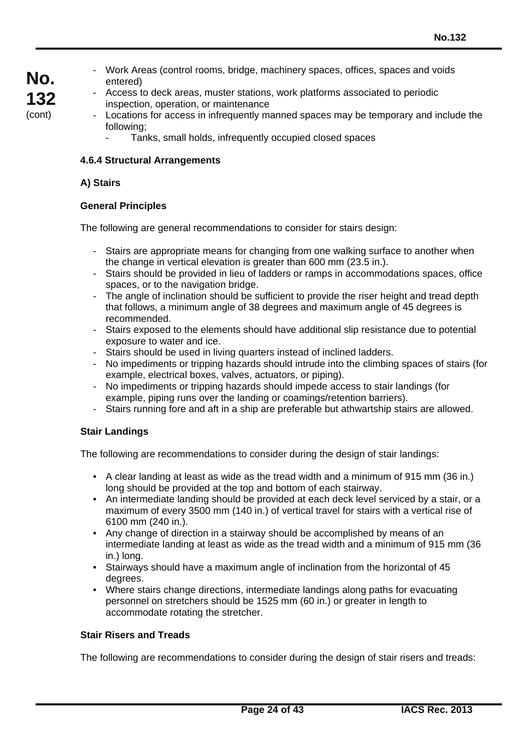- Work Areas (control rooms, bridge, machinery spaces, offices, spaces and voids entered)
- Access to deck areas, muster stations, work platforms associated to periodic inspection, operation, or maintenance
- Locations for access in infrequently manned spaces may be temporary and include the following;
	- Tanks, small holds, infrequently occupied closed spaces

### **4.6.4 Structural Arrangements**

### **A) Stairs**

**No.**

**132** (cont)

# **General Principles**

The following are general recommendations to consider for stairs design:

- Stairs are appropriate means for changing from one walking surface to another when the change in vertical elevation is greater than 600 mm (23.5 in.).
- Stairs should be provided in lieu of ladders or ramps in accommodations spaces, office spaces, or to the navigation bridge.
- The angle of inclination should be sufficient to provide the riser height and tread depth that follows, a minimum angle of 38 degrees and maximum angle of 45 degrees is recommended.
- Stairs exposed to the elements should have additional slip resistance due to potential exposure to water and ice.
- Stairs should be used in living quarters instead of inclined ladders.
- No impediments or tripping hazards should intrude into the climbing spaces of stairs (for example, electrical boxes, valves, actuators, or piping).
- No impediments or tripping hazards should impede access to stair landings (for example, piping runs over the landing or coamings/retention barriers).
- Stairs running fore and aft in a ship are preferable but athwartship stairs are allowed.

#### **Stair Landings**

The following are recommendations to consider during the design of stair landings:

- A clear landing at least as wide as the tread width and a minimum of 915 mm (36 in.) long should be provided at the top and bottom of each stairway.
- An intermediate landing should be provided at each deck level serviced by a stair, or a maximum of every 3500 mm (140 in.) of vertical travel for stairs with a vertical rise of 6100 mm (240 in.).
- Any change of direction in a stairway should be accomplished by means of an intermediate landing at least as wide as the tread width and a minimum of 915 mm (36 in.) long.
- Stairways should have a maximum angle of inclination from the horizontal of 45 degrees.
- Where stairs change directions, intermediate landings along paths for evacuating personnel on stretchers should be 1525 mm (60 in.) or greater in length to accommodate rotating the stretcher.

# **Stair Risers and Treads**

The following are recommendations to consider during the design of stair risers and treads: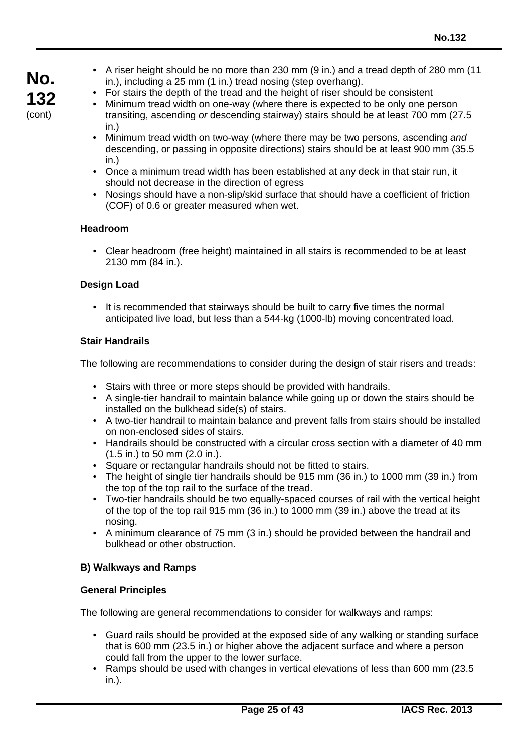- A riser height should be no more than 230 mm (9 in.) and a tread depth of 280 mm (11 in.), including a 25 mm (1 in.) tread nosing (step overhang).
- For stairs the depth of the tread and the height of riser should be consistent
- Minimum tread width on one-way (where there is expected to be only one person transiting, ascending *or* descending stairway) stairs should be at least 700 mm (27.5 in.)
- Minimum tread width on two-way (where there may be two persons, ascending *and* descending, or passing in opposite directions) stairs should be at least 900 mm (35.5 in.)
- Once a minimum tread width has been established at any deck in that stair run, it should not decrease in the direction of egress
- Nosings should have a non-slip/skid surface that should have a coefficient of friction (COF) of 0.6 or greater measured when wet.

# **Headroom**

**No.**

**132** (cont)

> • Clear headroom (free height) maintained in all stairs is recommended to be at least 2130 mm (84 in.).

### **Design Load**

• It is recommended that stairways should be built to carry five times the normal anticipated live load, but less than a 544-kg (1000-lb) moving concentrated load.

#### **Stair Handrails**

The following are recommendations to consider during the design of stair risers and treads:

- Stairs with three or more steps should be provided with handrails.
- A single-tier handrail to maintain balance while going up or down the stairs should be installed on the bulkhead side(s) of stairs.
- A two-tier handrail to maintain balance and prevent falls from stairs should be installed on non-enclosed sides of stairs.
- Handrails should be constructed with a circular cross section with a diameter of 40 mm (1.5 in.) to 50 mm (2.0 in.).
- Square or rectangular handrails should not be fitted to stairs.
- The height of single tier handrails should be 915 mm (36 in.) to 1000 mm (39 in.) from the top of the top rail to the surface of the tread.
- Two-tier handrails should be two equally-spaced courses of rail with the vertical height of the top of the top rail 915 mm (36 in.) to 1000 mm (39 in.) above the tread at its nosing.
- A minimum clearance of 75 mm (3 in.) should be provided between the handrail and bulkhead or other obstruction.

#### **B) Walkways and Ramps**

#### **General Principles**

The following are general recommendations to consider for walkways and ramps:

- Guard rails should be provided at the exposed side of any walking or standing surface that is 600 mm (23.5 in.) or higher above the adjacent surface and where a person could fall from the upper to the lower surface.
- Ramps should be used with changes in vertical elevations of less than 600 mm (23.5 in.).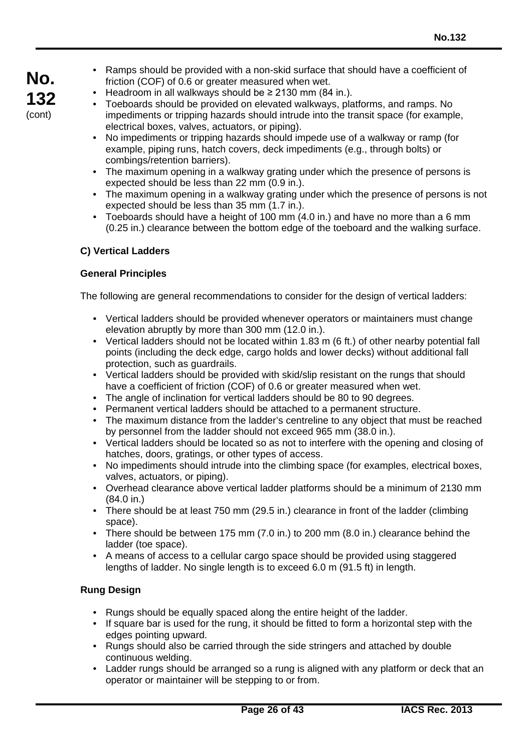- Ramps should be provided with a non-skid surface that should have a coefficient of friction (COF) of 0.6 or greater measured when wet.
- Headroom in all walkways should be  $\geq$  2130 mm (84 in.).
- Toeboards should be provided on elevated walkways, platforms, and ramps. No impediments or tripping hazards should intrude into the transit space (for example, electrical boxes, valves, actuators, or piping).
- No impediments or tripping hazards should impede use of a walkway or ramp (for example, piping runs, hatch covers, deck impediments (e.g., through bolts) or combings/retention barriers).
- The maximum opening in a walkway grating under which the presence of persons is expected should be less than 22 mm (0.9 in.).
- The maximum opening in a walkway grating under which the presence of persons is not expected should be less than 35 mm (1.7 in.).
- Toeboards should have a height of 100 mm (4.0 in.) and have no more than a 6 mm (0.25 in.) clearance between the bottom edge of the toeboard and the walking surface.

# **C) Vertical Ladders**

# **General Principles**

The following are general recommendations to consider for the design of vertical ladders:

- Vertical ladders should be provided whenever operators or maintainers must change elevation abruptly by more than 300 mm (12.0 in.).
- Vertical ladders should not be located within 1.83 m (6 ft.) of other nearby potential fall points (including the deck edge, cargo holds and lower decks) without additional fall protection, such as guardrails.
- Vertical ladders should be provided with skid/slip resistant on the rungs that should have a coefficient of friction (COF) of 0.6 or greater measured when wet.
- The angle of inclination for vertical ladders should be 80 to 90 degrees.
- Permanent vertical ladders should be attached to a permanent structure.
- The maximum distance from the ladder's centreline to any object that must be reached by personnel from the ladder should not exceed 965 mm (38.0 in.).
- Vertical ladders should be located so as not to interfere with the opening and closing of hatches, doors, gratings, or other types of access.
- No impediments should intrude into the climbing space (for examples, electrical boxes, valves, actuators, or piping).
- Overhead clearance above vertical ladder platforms should be a minimum of 2130 mm (84.0 in.)
- There should be at least 750 mm (29.5 in.) clearance in front of the ladder (climbing space).
- There should be between 175 mm (7.0 in.) to 200 mm (8.0 in.) clearance behind the ladder (toe space).
- A means of access to a cellular cargo space should be provided using staggered lengths of ladder. No single length is to exceed 6.0 m (91.5 ft) in length.

# **Rung Design**

- Rungs should be equally spaced along the entire height of the ladder.
- If square bar is used for the rung, it should be fitted to form a horizontal step with the edges pointing upward.
- Rungs should also be carried through the side stringers and attached by double continuous welding.
- Ladder rungs should be arranged so a rung is aligned with any platform or deck that an operator or maintainer will be stepping to or from.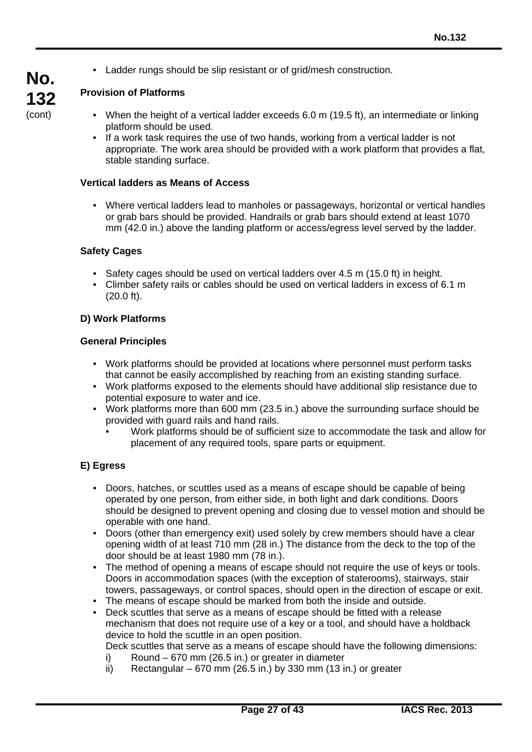• Ladder rungs should be slip resistant or of grid/mesh construction.

# **No. 132** (cont)

# **Provision of Platforms**

- When the height of a vertical ladder exceeds 6.0 m (19.5 ft), an intermediate or linking platform should be used.
- If a work task requires the use of two hands, working from a vertical ladder is not appropriate. The work area should be provided with a work platform that provides a flat, stable standing surface.

# **Vertical ladders as Means of Access**

• Where vertical ladders lead to manholes or passageways, horizontal or vertical handles or grab bars should be provided. Handrails or grab bars should extend at least 1070 mm (42.0 in.) above the landing platform or access/egress level served by the ladder.

# **Safety Cages**

- Safety cages should be used on vertical ladders over 4.5 m (15.0 ft) in height.
- Climber safety rails or cables should be used on vertical ladders in excess of 6.1 m (20.0 ft).

# **D) Work Platforms**

#### **General Principles**

- Work platforms should be provided at locations where personnel must perform tasks that cannot be easily accomplished by reaching from an existing standing surface.
- Work platforms exposed to the elements should have additional slip resistance due to potential exposure to water and ice.
- Work platforms more than 600 mm (23.5 in.) above the surrounding surface should be provided with guard rails and hand rails.
	- Work platforms should be of sufficient size to accommodate the task and allow for placement of any required tools, spare parts or equipment.

# **E) Egress**

- Doors, hatches, or scuttles used as a means of escape should be capable of being operated by one person, from either side, in both light and dark conditions. Doors should be designed to prevent opening and closing due to vessel motion and should be operable with one hand.
- Doors (other than emergency exit) used solely by crew members should have a clear opening width of at least 710 mm (28 in.) The distance from the deck to the top of the door should be at least 1980 mm (78 in.).
- The method of opening a means of escape should not require the use of keys or tools. Doors in accommodation spaces (with the exception of staterooms), stairways, stair towers, passageways, or control spaces, should open in the direction of escape or exit.
- The means of escape should be marked from both the inside and outside.
- Deck scuttles that serve as a means of escape should be fitted with a release mechanism that does not require use of a key or a tool, and should have a holdback device to hold the scuttle in an open position.

Deck scuttles that serve as a means of escape should have the following dimensions:

- i) Round 670 mm (26.5 in.) or greater in diameter
- ii) Rectangular  $-670$  mm (26.5 in.) by 330 mm (13 in.) or greater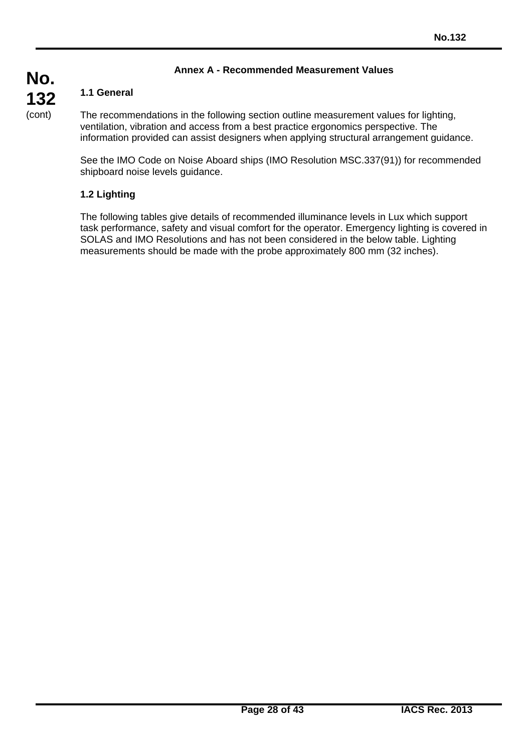# **Annex A - Recommended Measurement Values**

# **1.1 General**

The recommendations in the following section outline measurement values for lighting, ventilation, vibration and access from a best practice ergonomics perspective. The information provided can assist designers when applying structural arrangement guidance.

See the IMO Code on Noise Aboard ships (IMO Resolution MSC.337(91)) for recommended shipboard noise levels guidance.

# **1.2 Lighting**

The following tables give details of recommended illuminance levels in Lux which support task performance, safety and visual comfort for the operator. Emergency lighting is covered in SOLAS and IMO Resolutions and has not been considered in the below table. Lighting measurements should be made with the probe approximately 800 mm (32 inches).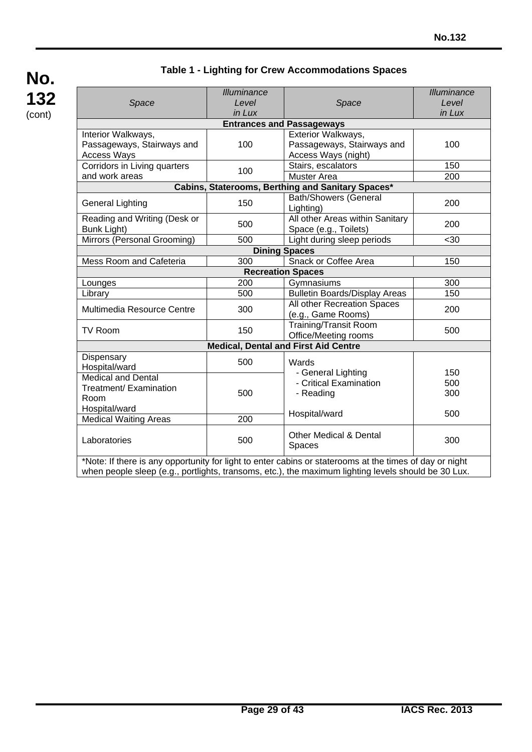# **Table 1 - Lighting for Crew Accommodations Spaces**

| Space                                                                  | Illuminance<br>Level<br>in Lux                                  | Space                                                                                                   | Illuminance<br>Level<br>in Lux |
|------------------------------------------------------------------------|-----------------------------------------------------------------|---------------------------------------------------------------------------------------------------------|--------------------------------|
|                                                                        |                                                                 | <b>Entrances and Passageways</b>                                                                        |                                |
| Interior Walkways,<br>Passageways, Stairways and<br><b>Access Ways</b> | 100                                                             | Exterior Walkways,<br>Passageways, Stairways and<br>Access Ways (night)                                 |                                |
| Corridors in Living quarters                                           | 100                                                             | Stairs, escalators                                                                                      | 150                            |
| and work areas                                                         |                                                                 | <b>Muster Area</b>                                                                                      | 200                            |
|                                                                        |                                                                 | Cabins, Staterooms, Berthing and Sanitary Spaces*                                                       |                                |
| <b>General Lighting</b>                                                | 150                                                             | <b>Bath/Showers (General</b><br>Lighting)                                                               | 200                            |
| Reading and Writing (Desk or<br>Bunk Light)                            | All other Areas within Sanitary<br>500<br>Space (e.g., Toilets) |                                                                                                         | 200                            |
| Mirrors (Personal Grooming)                                            | 500                                                             | Light during sleep periods                                                                              | $30$                           |
|                                                                        |                                                                 | <b>Dining Spaces</b>                                                                                    |                                |
| Mess Room and Cafeteria                                                | 300                                                             | Snack or Coffee Area                                                                                    | 150                            |
|                                                                        |                                                                 | <b>Recreation Spaces</b>                                                                                |                                |
| Lounges                                                                | 200                                                             | Gymnasiums                                                                                              | 300                            |
| Library                                                                | 500                                                             | <b>Bulletin Boards/Display Areas</b>                                                                    | 150                            |
| Multimedia Resource Centre                                             | 300                                                             | All other Recreation Spaces<br>(e.g., Game Rooms)                                                       | 200                            |
| <b>TV Room</b>                                                         | <b>Training/Transit Room</b><br>150<br>Office/Meeting rooms     |                                                                                                         | 500                            |
|                                                                        |                                                                 | <b>Medical, Dental and First Aid Centre</b>                                                             |                                |
| Dispensary<br>Hospital/ward                                            | 500                                                             | Wards                                                                                                   |                                |
| <b>Medical and Dental</b>                                              |                                                                 | - General Lighting<br>- Critical Examination                                                            | 150<br>500                     |
| Treatment/ Examination                                                 | 500                                                             | - Reading                                                                                               | 300                            |
| Room                                                                   |                                                                 |                                                                                                         |                                |
| Hospital/ward                                                          | Hospital/ward                                                   |                                                                                                         | 500                            |
| <b>Medical Waiting Areas</b>                                           | 200                                                             |                                                                                                         |                                |
| Laboratories                                                           | 500                                                             | <b>Other Medical &amp; Dental</b><br>Spaces                                                             | 300                            |
|                                                                        |                                                                 | *Note: If there is any opportunity for light to enter cabins or staterooms at the times of day or night |                                |

when people sleep (e.g., portlights, transoms, etc.), the maximum lighting levels should be 30 Lux.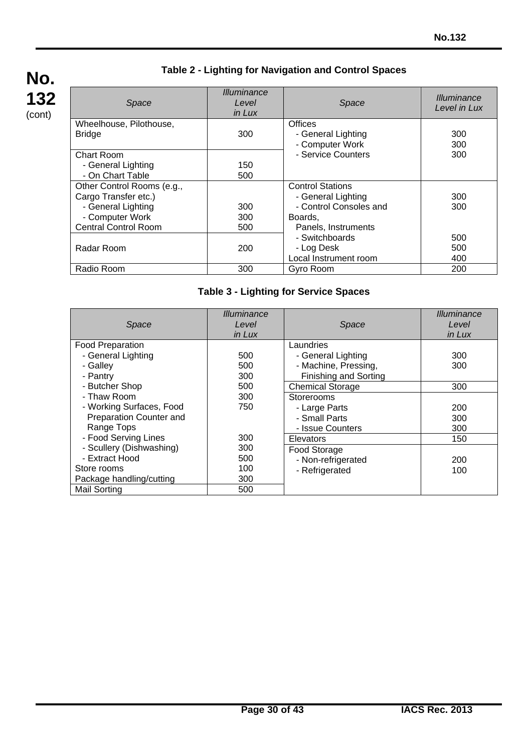# **Table 2 - Lighting for Navigation and Control Spaces**

| Space                       | <b>Illuminance</b><br>Level<br>in Lux | Space                   | <b>Illuminance</b><br>Level in Lux |
|-----------------------------|---------------------------------------|-------------------------|------------------------------------|
| Wheelhouse, Pilothouse,     |                                       | <b>Offices</b>          |                                    |
| <b>Bridge</b>               | 300                                   | - General Lighting      | 300                                |
|                             |                                       | - Computer Work         | 300                                |
| Chart Room                  |                                       | - Service Counters      | 300                                |
| - General Lighting          | 150                                   |                         |                                    |
| - On Chart Table            | 500                                   |                         |                                    |
| Other Control Rooms (e.g.,  |                                       | <b>Control Stations</b> |                                    |
| Cargo Transfer etc.)        |                                       | - General Lighting      | 300                                |
| - General Lighting          | 300                                   | - Control Consoles and  | 300                                |
| - Computer Work             | 300                                   | Boards.                 |                                    |
| <b>Central Control Room</b> | 500                                   | Panels, Instruments     |                                    |
|                             |                                       | - Switchboards          | 500                                |
| Radar Room                  | 200                                   | - Log Desk              | 500                                |
|                             |                                       | Local Instrument room   | 400                                |
| Radio Room                  | 300                                   | Gyro Room               | 200                                |

# **Table 3 - Lighting for Service Spaces**

|                          | <i>Illuminance</i> |                         | <i><u><b>Illuminance</b></u></i> |
|--------------------------|--------------------|-------------------------|----------------------------------|
| Space                    | Level              | Space                   | Level                            |
|                          | in Lux             |                         | in Lux                           |
| <b>Food Preparation</b>  |                    | Laundries               |                                  |
| - General Lighting       | 500                | - General Lighting      | 300                              |
| - Galley                 | 500                | - Machine, Pressing,    | 300                              |
| - Pantry                 | 300                | Finishing and Sorting   |                                  |
| - Butcher Shop           | 500                | <b>Chemical Storage</b> | 300                              |
| - Thaw Room              | 300                | Storerooms              |                                  |
| - Working Surfaces, Food | 750                | - Large Parts           | 200                              |
| Preparation Counter and  |                    | - Small Parts           | 300                              |
| Range Tops               |                    | - Issue Counters        | 300                              |
| - Food Serving Lines     | 300                | <b>Elevators</b>        | 150                              |
| - Scullery (Dishwashing) | 300                | Food Storage            |                                  |
| - Extract Hood           | 500                | - Non-refrigerated      | 200                              |
| Store rooms              | 100                | - Refrigerated          | 100                              |
| Package handling/cutting | 300                |                         |                                  |
| <b>Mail Sorting</b>      | 500                |                         |                                  |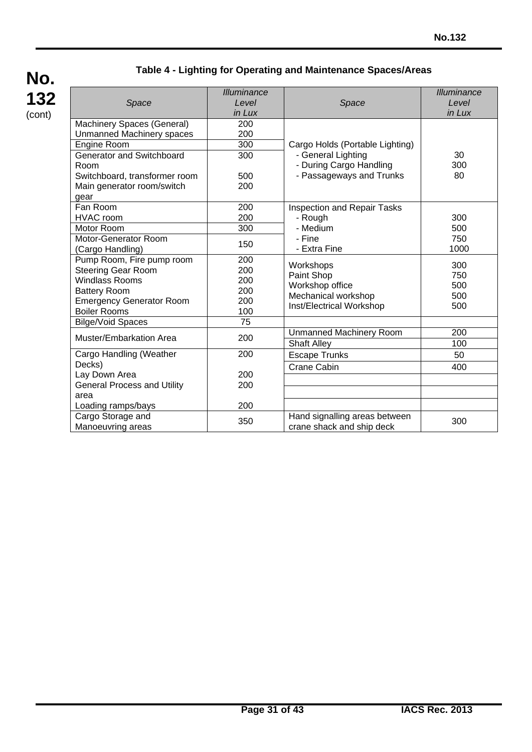# **Table 4 - Lighting for Operating and Maintenance Spaces/Areas**

| Space                                                                                                                                                            | <b>Illuminance</b><br>Level<br>in Lux  | Space                                                                                         | Illuminance<br>Level<br>in Lux  |
|------------------------------------------------------------------------------------------------------------------------------------------------------------------|----------------------------------------|-----------------------------------------------------------------------------------------------|---------------------------------|
| Machinery Spaces (General)<br><b>Unmanned Machinery spaces</b><br>Engine Room                                                                                    | 200<br>200<br>300                      | Cargo Holds (Portable Lighting)                                                               |                                 |
| <b>Generator and Switchboard</b><br>Room<br>Switchboard, transformer room<br>Main generator room/switch                                                          | 300<br>500<br>200                      | - General Lighting<br>- During Cargo Handling<br>- Passageways and Trunks                     | 30<br>300<br>80                 |
| gear<br>Fan Room<br><b>HVAC</b> room<br><b>Motor Room</b><br><b>Motor-Generator Room</b><br>(Cargo Handling)                                                     | 200<br>200<br>300<br>150               | <b>Inspection and Repair Tasks</b><br>- Rough<br>- Medium<br>- Fine<br>- Extra Fine           | 300<br>500<br>750<br>1000       |
| Pump Room, Fire pump room<br><b>Steering Gear Room</b><br><b>Windlass Rooms</b><br><b>Battery Room</b><br><b>Emergency Generator Room</b><br><b>Boiler Rooms</b> | 200<br>200<br>200<br>200<br>200<br>100 | Workshops<br>Paint Shop<br>Workshop office<br>Mechanical workshop<br>Inst/Electrical Workshop | 300<br>750<br>500<br>500<br>500 |
| <b>Bilge/Void Spaces</b><br><b>Muster/Embarkation Area</b>                                                                                                       | $\overline{75}$<br>200                 | <b>Unmanned Machinery Room</b><br><b>Shaft Alley</b>                                          | 200<br>100                      |
| Cargo Handling (Weather<br>Decks)                                                                                                                                | 200                                    | <b>Escape Trunks</b><br><b>Crane Cabin</b>                                                    | 50<br>400                       |
| Lay Down Area<br><b>General Process and Utility</b><br>area                                                                                                      | 200<br>200                             |                                                                                               |                                 |
| Loading ramps/bays<br>Cargo Storage and<br>Manoeuvring areas                                                                                                     | 200<br>350                             | Hand signalling areas between<br>crane shack and ship deck                                    | 300                             |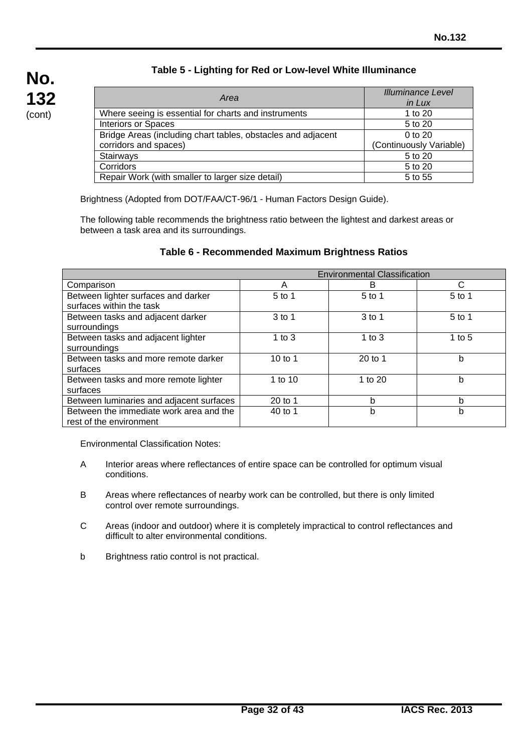# **Table 5 - Lighting for Red or Low-level White Illuminance**

| Area                                                         | <b>Illuminance Level</b> |
|--------------------------------------------------------------|--------------------------|
|                                                              | in Lux                   |
| Where seeing is essential for charts and instruments         | 1 to 20                  |
| <b>Interiors or Spaces</b>                                   | 5 to 20                  |
| Bridge Areas (including chart tables, obstacles and adjacent | 0 to 20                  |
| corridors and spaces)                                        | (Continuously Variable)  |
| Stairways                                                    | 5 to 20                  |
| Corridors                                                    | 5 to 20                  |
| Repair Work (with smaller to larger size detail)             | 5 to 55                  |

Brightness (Adopted from DOT/FAA/CT-96/1 - Human Factors Design Guide).

The following table recommends the brightness ratio between the lightest and darkest areas or between a task area and its surroundings.

| Table 6 - Recommended Maximum Brightness Ratios |  |
|-------------------------------------------------|--|
|-------------------------------------------------|--|

| <b>Environmental Classification</b>                                |           |          |          |
|--------------------------------------------------------------------|-----------|----------|----------|
| Comparison                                                         | A         | B        | C        |
| Between lighter surfaces and darker<br>surfaces within the task    | $5$ to 1  | $5$ to 1 | $5$ to 1 |
| Between tasks and adjacent darker<br>surroundings                  | $3$ to 1  | 3 to 1   | $5$ to 1 |
| Between tasks and adjacent lighter<br>surroundings                 | 1 to $3$  | 1 to $3$ | 1 to $5$ |
| Between tasks and more remote darker<br>surfaces                   | 10 to 1   | 20 to 1  | b        |
| Between tasks and more remote lighter<br>surfaces                  | 1 to $10$ | 1 to 20  | b        |
| Between luminaries and adjacent surfaces                           | $20$ to 1 | b        | b        |
| Between the immediate work area and the<br>rest of the environment | 40 to 1   | b        | b        |

Environmental Classification Notes:

- A Interior areas where reflectances of entire space can be controlled for optimum visual conditions.
- B Areas where reflectances of nearby work can be controlled, but there is only limited control over remote surroundings.
- C Areas (indoor and outdoor) where it is completely impractical to control reflectances and difficult to alter environmental conditions.
- b Brightness ratio control is not practical.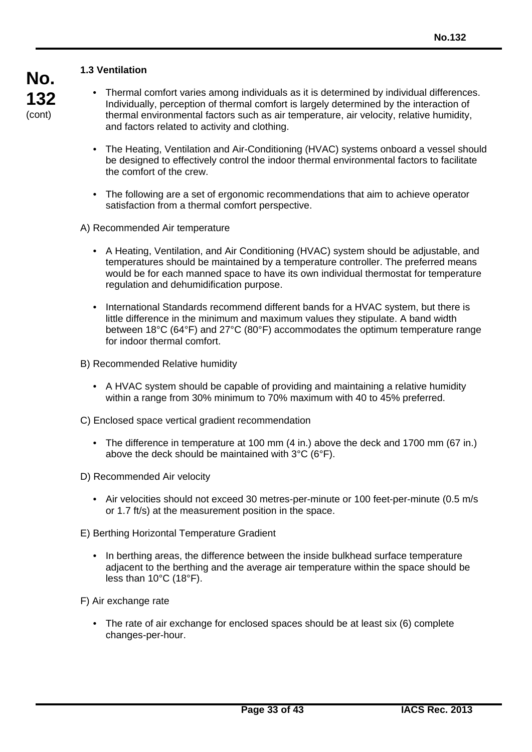### **1.3 Ventilation**

- Thermal comfort varies among individuals as it is determined by individual differences. Individually, perception of thermal comfort is largely determined by the interaction of thermal environmental factors such as air temperature, air velocity, relative humidity, and factors related to activity and clothing.
	- The Heating, Ventilation and Air-Conditioning (HVAC) systems onboard a vessel should be designed to effectively control the indoor thermal environmental factors to facilitate the comfort of the crew.
	- The following are a set of ergonomic recommendations that aim to achieve operator satisfaction from a thermal comfort perspective.

A) Recommended Air temperature

- A Heating, Ventilation, and Air Conditioning (HVAC) system should be adjustable, and temperatures should be maintained by a temperature controller. The preferred means would be for each manned space to have its own individual thermostat for temperature regulation and dehumidification purpose.
- International Standards recommend different bands for a HVAC system, but there is little difference in the minimum and maximum values they stipulate. A band width between 18°C (64°F) and 27°C (80°F) accommodates the optimum temperature range for indoor thermal comfort.

B) Recommended Relative humidity

- A HVAC system should be capable of providing and maintaining a relative humidity within a range from 30% minimum to 70% maximum with 40 to 45% preferred.
- C) Enclosed space vertical gradient recommendation
	- The difference in temperature at 100 mm (4 in.) above the deck and 1700 mm (67 in.) above the deck should be maintained with 3°C (6°F).
- D) Recommended Air velocity
	- Air velocities should not exceed 30 metres-per-minute or 100 feet-per-minute (0.5 m/s or 1.7 ft/s) at the measurement position in the space.

E) Berthing Horizontal Temperature Gradient

• In berthing areas, the difference between the inside bulkhead surface temperature adjacent to the berthing and the average air temperature within the space should be less than 10°C (18°F).

F) Air exchange rate

• The rate of air exchange for enclosed spaces should be at least six (6) complete changes-per-hour.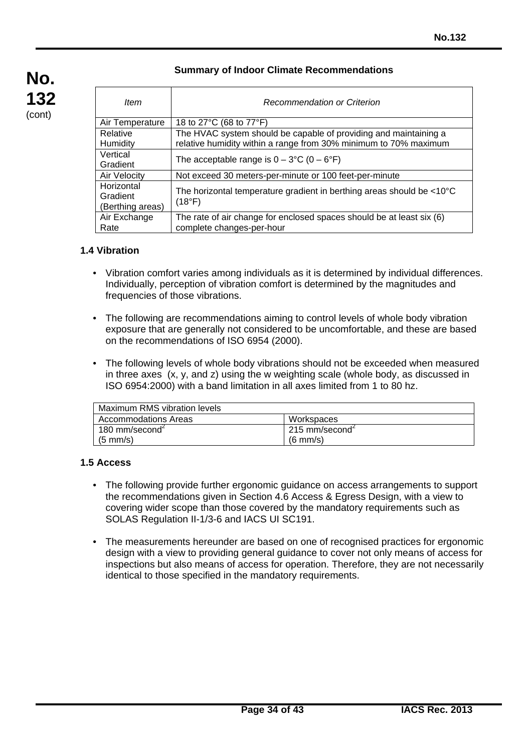### **Summary of Indoor Climate Recommendations**

| ltem                                       | Recommendation or Criterion                                                                                                          |
|--------------------------------------------|--------------------------------------------------------------------------------------------------------------------------------------|
| Air Temperature                            | 18 to 27°C (68 to 77°F)                                                                                                              |
| Relative<br>Humidity                       | The HVAC system should be capable of providing and maintaining a<br>relative humidity within a range from 30% minimum to 70% maximum |
| Vertical<br>Gradient                       | The acceptable range is $0 - 3$ °C (0 – 6°F)                                                                                         |
| <b>Air Velocity</b>                        | Not exceed 30 meters-per-minute or 100 feet-per-minute                                                                               |
| Horizontal<br>Gradient<br>(Berthing areas) | The horizontal temperature gradient in berthing areas should be $<10^{\circ}C$<br>(18°F)                                             |
| Air Exchange<br>Rate                       | The rate of air change for enclosed spaces should be at least six (6)<br>complete changes-per-hour                                   |

### **1.4 Vibration**

- Vibration comfort varies among individuals as it is determined by individual differences. Individually, perception of vibration comfort is determined by the magnitudes and frequencies of those vibrations.
- The following are recommendations aiming to control levels of whole body vibration exposure that are generally not considered to be uncomfortable, and these are based on the recommendations of ISO 6954 (2000).
- The following levels of whole body vibrations should not be exceeded when measured in three axes (x, y, and z) using the w weighting scale (whole body, as discussed in ISO 6954:2000) with a band limitation in all axes limited from 1 to 80 hz.

| Maximum RMS vibration levels |                           |
|------------------------------|---------------------------|
| <b>Accommodations Areas</b>  | Workspaces                |
| 180 mm/second $\epsilon$     | $215 \text{ mm/second}^2$ |
| $(5 \text{ mm/s})$           | $(6 \text{ mm/s})$        |

#### **1.5 Access**

- The following provide further ergonomic guidance on access arrangements to support the recommendations given in Section 4.6 Access & Egress Design, with a view to covering wider scope than those covered by the mandatory requirements such as SOLAS Regulation II-1/3-6 and IACS UI SC191.
- The measurements hereunder are based on one of recognised practices for ergonomic design with a view to providing general guidance to cover not only means of access for inspections but also means of access for operation. Therefore, they are not necessarily identical to those specified in the mandatory requirements.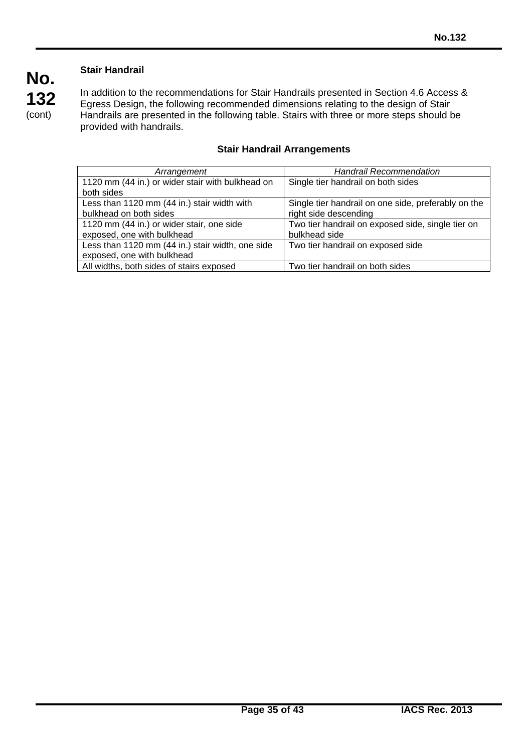# **Stair Handrail**

**No.**

**132** (cont)

In addition to the recommendations for Stair Handrails presented in Section 4.6 Access & Egress Design, the following recommended dimensions relating to the design of Stair Handrails are presented in the following table. Stairs with three or more steps should be provided with handrails.

| Arrangement                                      | <b>Handrail Recommendation</b>                      |
|--------------------------------------------------|-----------------------------------------------------|
| 1120 mm (44 in.) or wider stair with bulkhead on | Single tier handrail on both sides                  |
| both sides                                       |                                                     |
| Less than 1120 mm (44 in.) stair width with      | Single tier handrail on one side, preferably on the |
| bulkhead on both sides                           | right side descending                               |
| 1120 mm (44 in.) or wider stair, one side        | Two tier handrail on exposed side, single tier on   |
| exposed, one with bulkhead                       | bulkhead side                                       |
| Less than 1120 mm (44 in.) stair width, one side | Two tier handrail on exposed side                   |
| exposed, one with bulkhead                       |                                                     |
| All widths, both sides of stairs exposed         | Two tier handrail on both sides                     |

# **Stair Handrail Arrangements**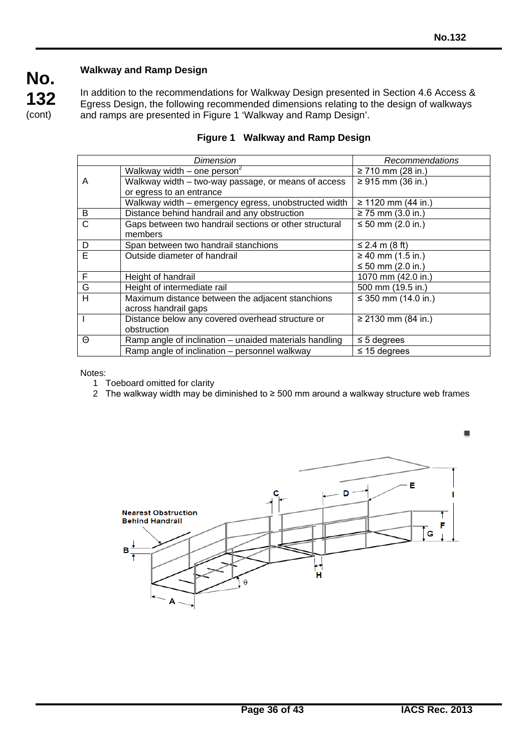# **Walkway and Ramp Design**

In addition to the recommendations for Walkway Design presented in Section 4.6 Access & Egress Design, the following recommended dimensions relating to the design of walkways and ramps are presented in Figure 1 'Walkway and Ramp Design'.

|              | Dimension                                                         | Recommendations        |
|--------------|-------------------------------------------------------------------|------------------------|
|              | Walkway width – one person <sup>2</sup>                           | $\geq$ 710 mm (28 in.) |
| A            | Walkway width - two-way passage, or means of access               | ≥ 915 mm (36 in.)      |
|              | or egress to an entrance                                          |                        |
|              | Walkway width - emergency egress, unobstructed width              | ≥ 1120 mm (44 in.)     |
| B            | Distance behind handrail and any obstruction                      | $\geq$ 75 mm (3.0 in.) |
| $\mathsf{C}$ | Gaps between two handrail sections or other structural<br>members | ≤ 50 mm $(2.0 in.)$    |
| D            | Span between two handrail stanchions                              | ≤ 2.4 m (8 ft)         |
| Ē            | Outside diameter of handrail                                      | $\geq 40$ mm (1.5 in.) |
|              |                                                                   | ≤ 50 mm $(2.0 in.)$    |
| F            | Height of handrail                                                | 1070 mm (42.0 in.)     |
| G            | Height of intermediate rail                                       | 500 mm (19.5 in.)      |
| H            | Maximum distance between the adjacent stanchions                  | ≤ 350 mm $(14.0 in.)$  |
|              | across handrail gaps                                              |                        |
|              | Distance below any covered overhead structure or                  | ≥ 2130 mm (84 in.)     |
|              | obstruction                                                       |                        |
| Θ            | Ramp angle of inclination – unaided materials handling            | $\leq$ 5 degrees       |
|              | Ramp angle of inclination - personnel walkway                     | $\leq$ 15 degrees      |

|  |  | Figure 1 Walkway and Ramp Design |
|--|--|----------------------------------|
|--|--|----------------------------------|

Notes:

1 Toeboard omitted for clarity

2 The walkway width may be diminished to ≥ 500 mm around a walkway structure web frames

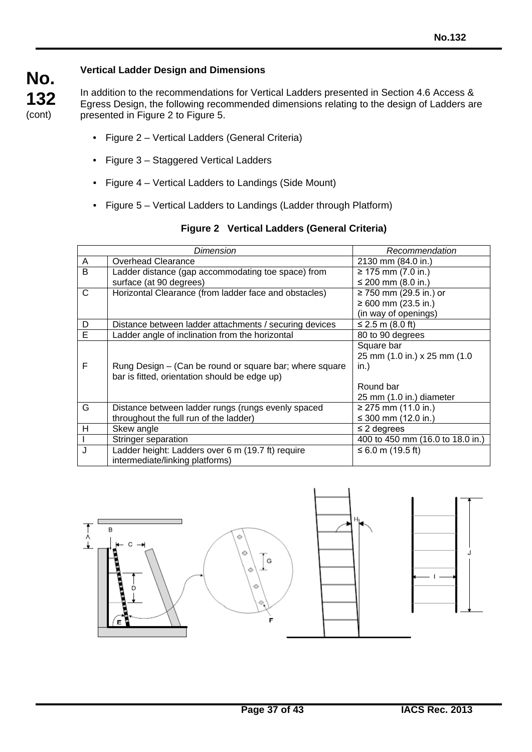# **Vertical Ladder Design and Dimensions**

In addition to the recommendations for Vertical Ladders presented in Section 4.6 Access & Egress Design, the following recommended dimensions relating to the design of Ladders are presented in Figure 2 to Figure 5.

- Figure 2 Vertical Ladders (General Criteria)
- Figure 3 Staggered Vertical Ladders
- Figure 4 Vertical Ladders to Landings (Side Mount)
- Figure 5 Vertical Ladders to Landings (Ladder through Platform)

| Dimension |                                                         | Recommendation                   |
|-----------|---------------------------------------------------------|----------------------------------|
| A         | <b>Overhead Clearance</b>                               | 2130 mm (84.0 in.)               |
| B         | Ladder distance (gap accommodating toe space) from      | ≥ 175 mm $(7.0 in.)$             |
|           | surface (at 90 degrees)                                 | ≤ 200 mm $(8.0 in.)$             |
| C         | Horizontal Clearance (from ladder face and obstacles)   | ≥ 750 mm (29.5 in.) or           |
|           |                                                         | ≥ 600 mm (23.5 in.)              |
|           |                                                         | (in way of openings)             |
| D         | Distance between ladder attachments / securing devices  | ≤ 2.5 m (8.0 ft)                 |
| Е         | Ladder angle of inclination from the horizontal         | 80 to 90 degrees                 |
|           |                                                         | Square bar                       |
|           |                                                         | 25 mm (1.0 in.) x 25 mm (1.0     |
| F         | Rung Design – (Can be round or square bar; where square | in.)                             |
|           | bar is fitted, orientation should be edge up)           |                                  |
|           |                                                         | Round bar                        |
|           |                                                         | 25 mm (1.0 in.) diameter         |
| G         | Distance between ladder rungs (rungs evenly spaced      | ≥ 275 mm $(11.0 in.)$            |
|           | throughout the full run of the ladder)                  | ≤ 300 mm (12.0 in.)              |
| н         | Skew angle                                              | $\leq$ 2 degrees                 |
|           | Stringer separation                                     | 400 to 450 mm (16.0 to 18.0 in.) |
| J         | Ladder height: Ladders over 6 m (19.7 ft) require       | ≤ 6.0 m (19.5 ft)                |
|           | intermediate/linking platforms)                         |                                  |

# **Figure 2 Vertical Ladders (General Criteria)**

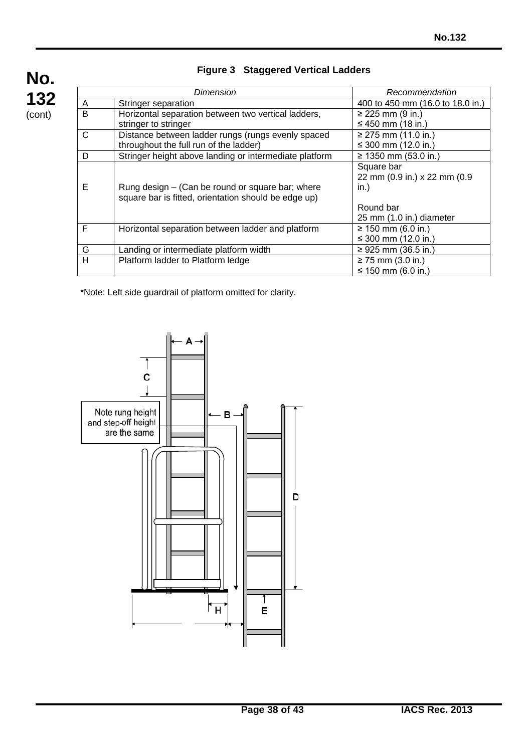

# **Figure 3 Staggered Vertical Ladders**

| Dimension |                                                        | Recommendation                   |
|-----------|--------------------------------------------------------|----------------------------------|
| A         | Stringer separation                                    | 400 to 450 mm (16.0 to 18.0 in.) |
| B         | Horizontal separation between two vertical ladders,    | $≥ 225$ mm (9 in.)               |
|           | stringer to stringer                                   | ≤ 450 mm (18 in.)                |
| C         | Distance between ladder rungs (rungs evenly spaced     | $≥ 275$ mm (11.0 in.)            |
|           | throughout the full run of the ladder)                 | ≤ 300 mm $(12.0 \text{ in.})$    |
| D         | Stringer height above landing or intermediate platform | ≥ 1350 mm (53.0 in.)             |
|           |                                                        | Square bar                       |
|           |                                                        | 22 mm (0.9 in.) x 22 mm (0.9     |
| Е         | Rung design – (Can be round or square bar; where       | in.)                             |
|           | square bar is fitted, orientation should be edge up)   |                                  |
|           |                                                        | Round bar                        |
|           |                                                        | 25 mm (1.0 in.) diameter         |
| F         | Horizontal separation between ladder and platform      | ≥ 150 mm (6.0 in.)               |
|           |                                                        | $\leq$ 300 mm (12.0 in.)         |
| G         | Landing or intermediate platform width                 | ≥ 925 mm (36.5 in.)              |
| H         | Platform ladder to Platform ledge                      | $≥ 75$ mm (3.0 in.)              |
|           |                                                        | ≤ 150 mm (6.0 in.)               |

\*Note: Left side guardrail of platform omitted for clarity.

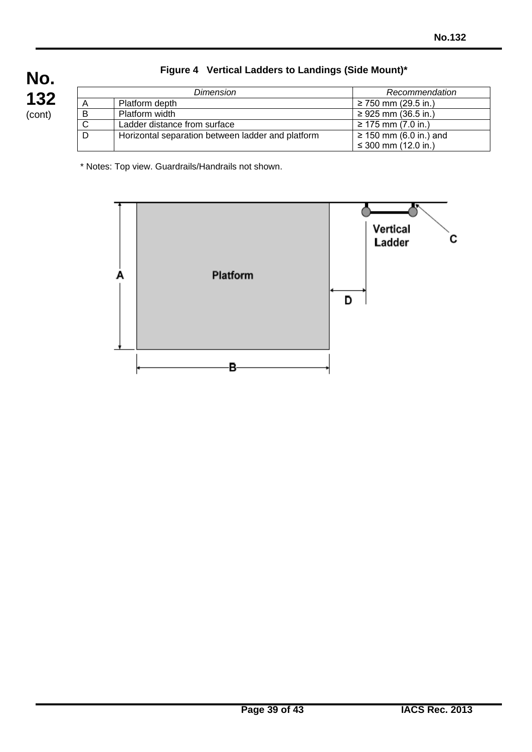|   | Dimension                                         | Recommendation              |
|---|---------------------------------------------------|-----------------------------|
| A | Platform depth                                    | ≥ 750 mm (29.5 in.)         |
| B | Platform width                                    | ≥ 925 mm (36.5 in.)         |
|   | Ladder distance from surface                      | ≥ 175 mm (7.0 in.)          |
| D | Horizontal separation between ladder and platform | $\geq$ 150 mm (6.0 in.) and |
|   |                                                   | $\leq$ 300 mm (12.0 in.)    |

# **Figure 4 Vertical Ladders to Landings (Side Mount)\***

\* Notes: Top view. Guardrails/Handrails not shown.

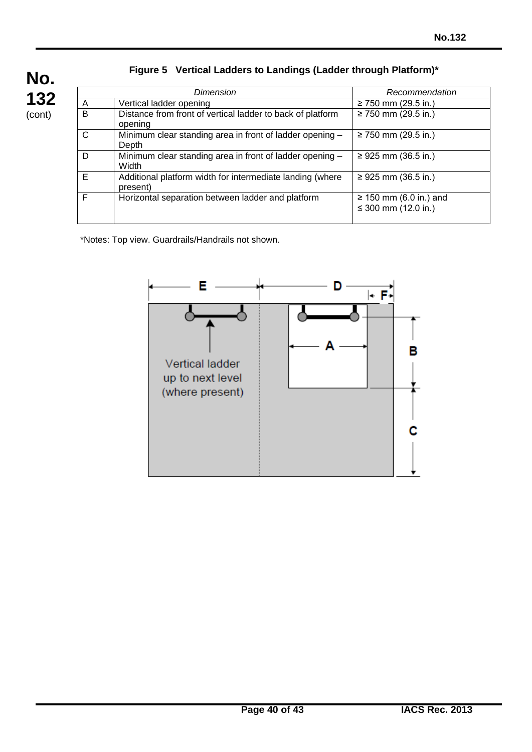| No.    |  |
|--------|--|
| 132    |  |
| (cont) |  |

# **Figure 5 Vertical Ladders to Landings (Ladder through Platform)\***

| Dimension |                                                                       | Recommendation                                               |
|-----------|-----------------------------------------------------------------------|--------------------------------------------------------------|
| A         | Vertical ladder opening                                               | ≥ 750 mm (29.5 in.)                                          |
| B         | Distance from front of vertical ladder to back of platform<br>opening | ≥ 750 mm (29.5 in.)                                          |
| C         | Minimum clear standing area in front of ladder opening -<br>Depth     | $≥ 750$ mm (29.5 in.)                                        |
| D         | Minimum clear standing area in front of ladder opening -<br>Width     | ≥ 925 mm (36.5 in.)                                          |
| E         | Additional platform width for intermediate landing (where<br>present) | ≥ 925 mm (36.5 in.)                                          |
| F         | Horizontal separation between ladder and platform                     | $\geq$ 150 mm (6.0 in.) and<br>≤ 300 mm $(12.0 \text{ in.})$ |

\*Notes: Top view. Guardrails/Handrails not shown.

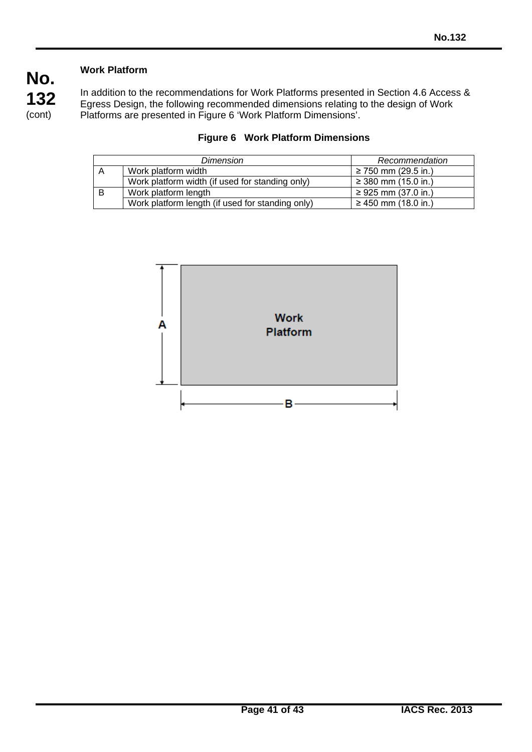# **Work Platform**

In addition to the recommendations for Work Platforms presented in Section 4.6 Access & Egress Design, the following recommended dimensions relating to the design of Work Platforms are presented in Figure 6 'Work Platform Dimensions'.

| Dimension      |                                                  | Recommendation      |
|----------------|--------------------------------------------------|---------------------|
| $\overline{A}$ | Work platform width                              | ≥ 750 mm (29.5 in.) |
|                | Work platform width (if used for standing only)  | ≥ 380 mm (15.0 in.) |
| B              | Work platform length                             | ≥ 925 mm (37.0 in.) |
|                | Work platform length (if used for standing only) | ≥ 450 mm (18.0 in.) |



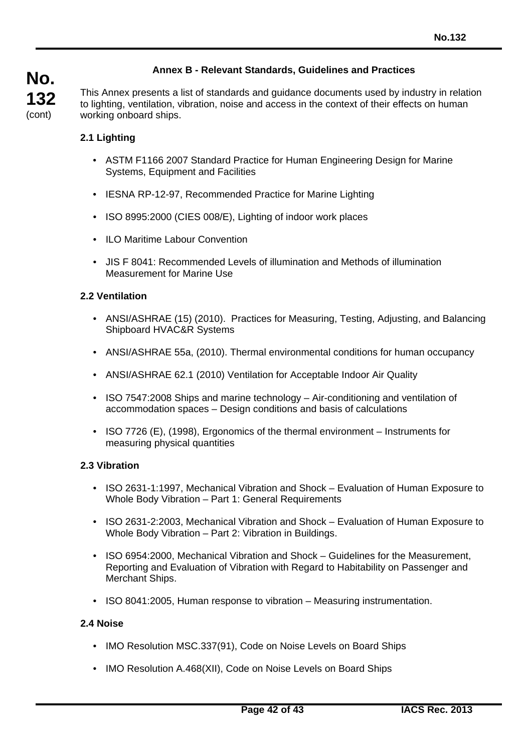# **Annex B - Relevant Standards, Guidelines and Practices**

This Annex presents a list of standards and guidance documents used by industry in relation to lighting, ventilation, vibration, noise and access in the context of their effects on human working onboard ships.

### **2.1 Lighting**

- ASTM F1166 2007 Standard Practice for Human Engineering Design for Marine Systems, Equipment and Facilities
- IESNA RP-12-97, Recommended Practice for Marine Lighting
- ISO 8995:2000 (CIES 008/E), Lighting of indoor work places
- ILO Maritime Labour Convention
- JIS F 8041: Recommended Levels of illumination and Methods of illumination Measurement for Marine Use

#### **2.2 Ventilation**

- ANSI/ASHRAE (15) (2010). Practices for Measuring, Testing, Adjusting, and Balancing Shipboard HVAC&R Systems
- ANSI/ASHRAE 55a, (2010). Thermal environmental conditions for human occupancy
- ANSI/ASHRAE 62.1 (2010) Ventilation for Acceptable Indoor Air Quality
- ISO 7547:2008 Ships and marine technology Air-conditioning and ventilation of accommodation spaces – Design conditions and basis of calculations
- ISO 7726 (E), (1998), Ergonomics of the thermal environment Instruments for measuring physical quantities

### **2.3 Vibration**

- ISO 2631-1:1997, Mechanical Vibration and Shock Evaluation of Human Exposure to Whole Body Vibration – Part 1: General Requirements
- ISO 2631-2:2003, Mechanical Vibration and Shock Evaluation of Human Exposure to Whole Body Vibration – Part 2: Vibration in Buildings.
- ISO 6954:2000, Mechanical Vibration and Shock Guidelines for the Measurement, Reporting and Evaluation of Vibration with Regard to Habitability on Passenger and Merchant Ships.
- ISO 8041:2005, Human response to vibration Measuring instrumentation.

#### **2.4 Noise**

- IMO Resolution MSC.337(91), Code on Noise Levels on Board Ships
- IMO Resolution A.468(XII), Code on Noise Levels on Board Ships